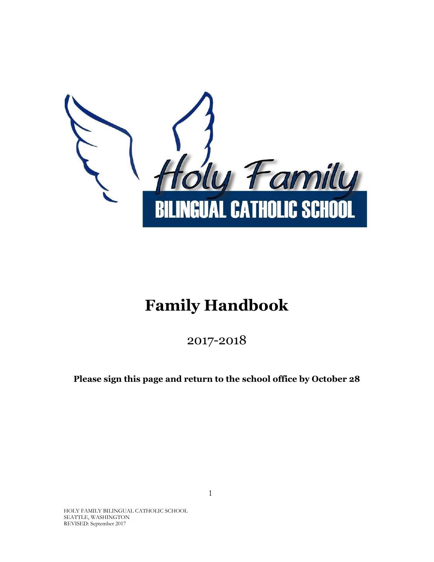

# **Family Handbook**

2017-2018

**Please sign this page and return to the school office by October 28**

HOLY FAMILY BILINGUAL CATHOLIC SCHOOL SEATTLE, WASHINGTON REVISED: September 2017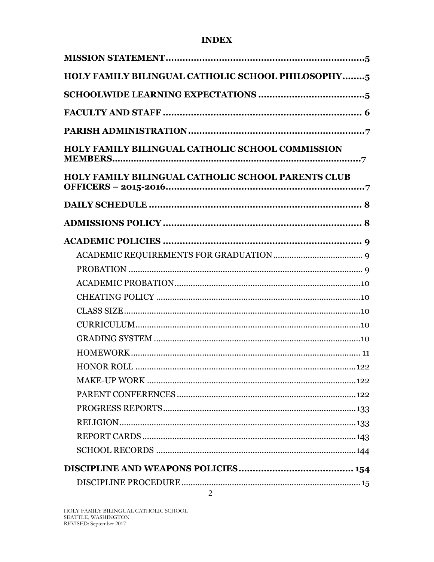#### **INDEX**

| HOLY FAMILY BILINGUAL CATHOLIC SCHOOL PHILOSOPHY5         |
|-----------------------------------------------------------|
|                                                           |
|                                                           |
|                                                           |
| <b>HOLY FAMILY BILINGUAL CATHOLIC SCHOOL COMMISSION</b>   |
| <b>HOLY FAMILY BILINGUAL CATHOLIC SCHOOL PARENTS CLUB</b> |
|                                                           |
|                                                           |
|                                                           |
|                                                           |
|                                                           |
|                                                           |
|                                                           |
|                                                           |
|                                                           |
|                                                           |
|                                                           |
|                                                           |
|                                                           |
|                                                           |
|                                                           |
|                                                           |
|                                                           |
|                                                           |
|                                                           |
| $\overline{a}$                                            |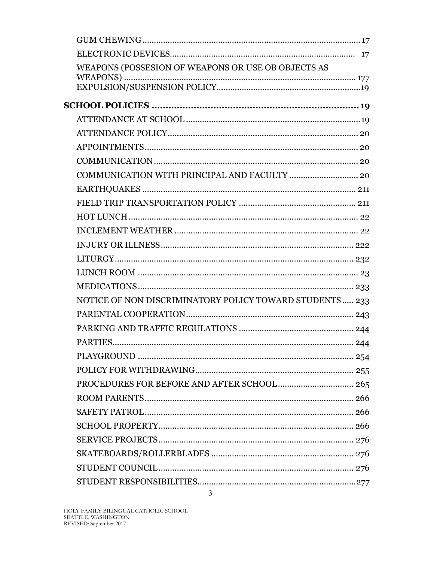| WEAPONS (POSSESION OF WEAPONS OR USE OB OBJECTS AS      |  |
|---------------------------------------------------------|--|
|                                                         |  |
|                                                         |  |
|                                                         |  |
|                                                         |  |
|                                                         |  |
|                                                         |  |
|                                                         |  |
|                                                         |  |
|                                                         |  |
|                                                         |  |
|                                                         |  |
|                                                         |  |
|                                                         |  |
|                                                         |  |
|                                                         |  |
|                                                         |  |
| NOTICE OF NON DISCRIMINATORY POLICY TOWARD STUDENTS 233 |  |
|                                                         |  |
|                                                         |  |
|                                                         |  |
|                                                         |  |
|                                                         |  |
|                                                         |  |
|                                                         |  |
|                                                         |  |
|                                                         |  |
|                                                         |  |
|                                                         |  |
|                                                         |  |
|                                                         |  |
|                                                         |  |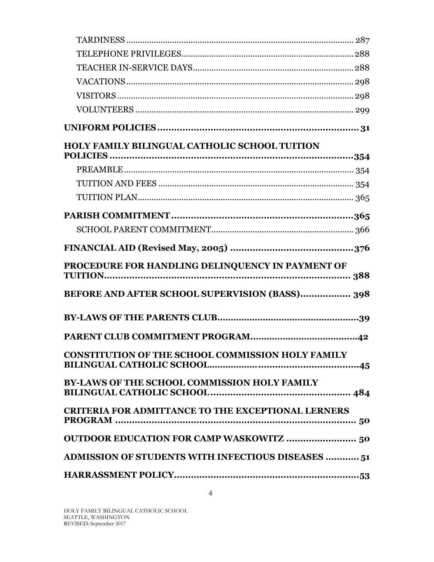| HOLY FAMILY BILINGUAL CATHOLIC SCHOOL TUITION             |  |
|-----------------------------------------------------------|--|
|                                                           |  |
|                                                           |  |
|                                                           |  |
|                                                           |  |
|                                                           |  |
|                                                           |  |
|                                                           |  |
| PROCEDURE FOR HANDLING DELINQUENCY IN PAYMENT OF          |  |
| BEFORE AND AFTER SCHOOL SUPERVISION (BASS) 398            |  |
|                                                           |  |
|                                                           |  |
| CONSTITUTION OF THE SCHOOL COMMISSION HOLY FAMILY         |  |
|                                                           |  |
| BY-LAWS OF THE SCHOOL COMMISSION HOLY FAMILY              |  |
| <b>CRITERIA FOR ADMITTANCE TO THE EXCEPTIONAL LERNERS</b> |  |
| <b>OUTDOOR EDUCATION FOR CAMP WASKOWITZ  50</b>           |  |
| <b>ADMISSION OF STUDENTS WITH INFECTIOUS DISEASES  51</b> |  |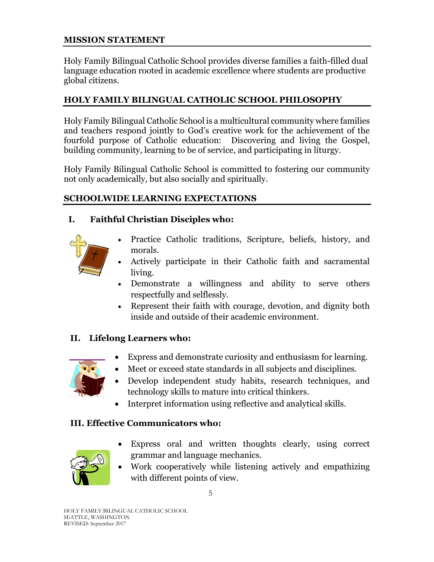### <span id="page-4-0"></span>**MISSION STATEMENT**

Holy Family Bilingual Catholic School provides diverse families a faith-filled dual language education rooted in academic excellence where students are productive global citizens.

# <span id="page-4-1"></span>**HOLY FAMILY BILINGUAL CATHOLIC SCHOOL PHILOSOPHY**

Holy Family Bilingual Catholic School is a multicultural community where families and teachers respond jointly to God's creative work for the achievement of the fourfold purpose of Catholic education: Discovering and living the Gospel, building community, learning to be of service, and participating in liturgy.

Holy Family Bilingual Catholic School is committed to fostering our community not only academically, but also socially and spiritually.

### <span id="page-4-2"></span>**SCHOOLWIDE LEARNING EXPECTATIONS**

# **I. Faithful Christian Disciples who:**



- Practice Catholic traditions, Scripture, beliefs, history, and morals.
- Actively participate in their Catholic faith and sacramental living.
- Demonstrate a willingness and ability to serve others respectfully and selflessly.
- Represent their faith with courage, devotion, and dignity both inside and outside of their academic environment.

# **II. Lifelong Learners who:**



- Express and demonstrate curiosity and enthusiasm for learning.
- Meet or exceed state standards in all subjects and disciplines.
- Develop independent study habits, research techniques, and technology skills to mature into critical thinkers.
- Interpret information using reflective and analytical skills.

# **III. Effective Communicators who:**



- Express oral and written thoughts clearly, using correct grammar and language mechanics.
- Work cooperatively while listening actively and empathizing with different points of view.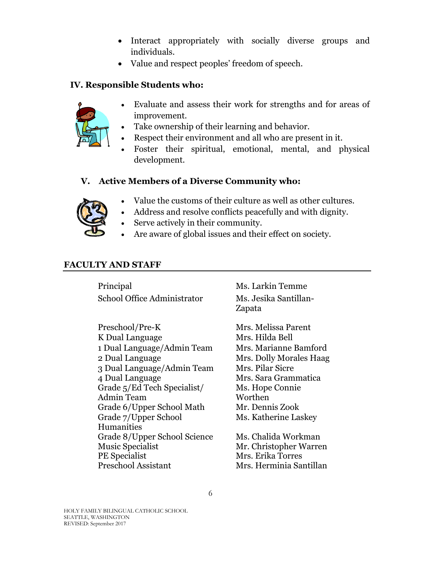- Interact appropriately with socially diverse groups and individuals.
- Value and respect peoples' freedom of speech.

### **IV. Responsible Students who:**



- Evaluate and assess their work for strengths and for areas of improvement.
- Take ownership of their learning and behavior.
- Respect their environment and all who are present in it.
- Foster their spiritual, emotional, mental, and physical development.

### **V. Active Members of a Diverse Community who:**



- Value the customs of their culture as well as other cultures.
- Address and resolve conflicts peacefully and with dignity.
- Serve actively in their community.
- Are aware of global issues and their effect on society.

### <span id="page-5-0"></span>**FACULTY AND STAFF**

Principal Ms. Larkin Temme School Office Administrator Ms. Jesika Santillan-

Preschool/Pre-K Mrs. Melissa Parent K Dual Language Mrs. Hilda Bell 1 Dual Language/Admin Team Mrs. Marianne Bamford 2 Dual Language Mrs. Dolly Morales Haag 3 Dual Language/Admin Team 4 Dual Language Grade 5/Ed Tech Specialist/ Admin Team Grade 6/Upper School Math Mr. Dennis Zook Grade 7/Upper School Humanities Grade 8/Upper School Science Music Specialist PE Specialist Preschool Assistant

Zapata

Mrs. Pilar Sicre Mrs. Sara Grammatica Ms. Hope Connie Worthen Ms. Katherine Laskey

Ms. Chalida Workman Mr. Christopher Warren Mrs. Erika Torres Mrs. Herminia Santillan

HOLY FAMILY BILINGUAL CATHOLIC SCHOOL SEATTLE, WASHINGTON REVISED: September 2017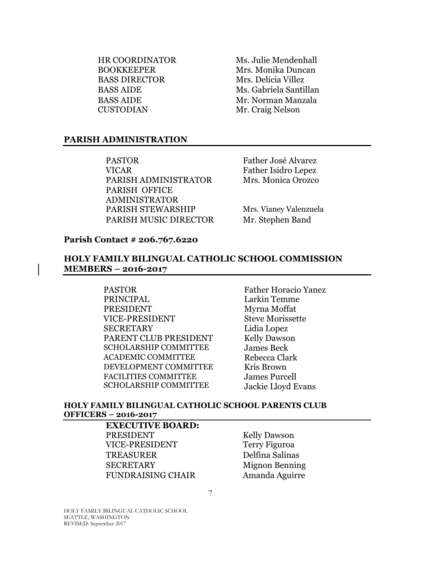HR COORDINATOR BOOKKEEPER BASS DIRECTOR Mrs. Delicia Villez BASS AIDE CUSTODIAN

Ms. Julie Mendenhall Mrs. Monika Duncan BASS AIDE Ms. Gabriela Santillan Mr. Norman Manzala Mr. Craig Nelson

#### <span id="page-6-0"></span>**PARISH ADMINISTRATION**

PASTOR VICAR PARISH ADMINISTRATOR Mrs. Monica Orozco PARISH OFFICE ADMINISTRATOR PARISH STEWARSHIP Mrs. Vianey Valenzuela PARISH MUSIC DIRECTOR Mr. Stephen Band

Father José Alvarez Father Isidro Lepez

#### **Parish Contact # 206.767.6220**

#### <span id="page-6-1"></span>**HOLY FAMILY BILINGUAL CATHOLIC SCHOOL COMMISSION MEMBERS – 2016-2017**

PASTOR Father Horacio Yanez PRINCIPAL Larkin Temme PRESIDENT Myrna Moffat VICE-PRESIDENT Steve Morissette SECRETARY Lidia Lopez PARENT CLUB PRESIDENT Kelly Dawson SCHOLARSHIP COMMITTEE James Beck ACADEMIC COMMITTEE Rebecca Clark DEVELOPMENT COMMITTEE Kris Brown FACILITIES COMMITTEE SCHOLARSHIP COMMITTEE

James Purcell Jackie Lloyd Evans

#### <span id="page-6-2"></span>**HOLY FAMILY BILINGUAL CATHOLIC SCHOOL PARENTS CLUB OFFICERS – 2016-2017**

7

**EXECUTIVE BOARD:** PRESIDENT Kelly Dawson VICE-PRESIDENT Terry Figuroa TREASURER Delfina Salinas SECRETARY Mignon Benning FUNDRAISING CHAIR Amanda Aguirre

HOLY FAMILY BILINGUAL CATHOLIC SCHOOL SEATTLE, WASHINGTON REVISED: September 2017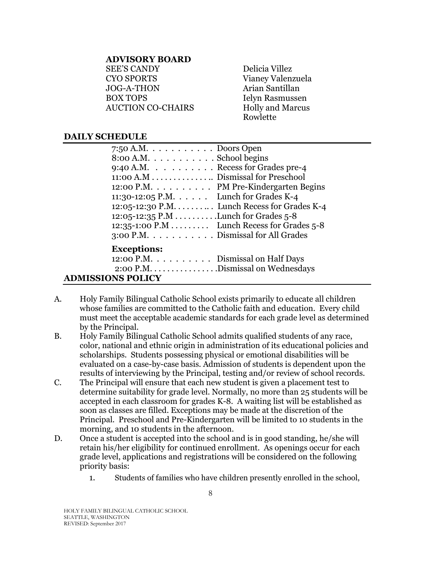#### **ADVISORY BOARD**

SEE'S CANDY CYO SPORTS JOG-A-THON BOX TOPS AUCTION CO-CHAIRS Delicia Villez Vianey Valenzuela Arian Santillan Ielyn Rasmussen Holly and Marcus Rowlette

#### <span id="page-7-0"></span>**DAILY SCHEDULE**

| 7:50 A.M. $\dots \dots \dots$ Doors Open        |
|-------------------------------------------------|
| $8:00$ A.M. $\dots \dots \dots$ . School begins |
| 9:40 A.M. Recess for Grades pre-4               |
| 11:00 A.M Dismissal for Preschool               |
| 12:00 P.M. PM Pre-Kindergarten Begins           |
| 11:30-12:05 P.M. Lunch for Grades K-4           |
| 12:05-12:30 P.M. Lunch Recess for Grades K-4    |
| 12:05-12:35 P.M Lunch for Grades 5-8            |
| 12:35-1:00 P.M Lunch Recess for Grades 5-8      |
| 3:00 P.M. Dismissal for All Grades              |
|                                                 |
| <b>Exceptions:</b>                              |
| 12:00 P.M. $\dots \dots$ Dismissal on Half Days |
|                                                 |
| <b>ADMISSIONS POLICY</b>                        |

- <span id="page-7-1"></span>A. Holy Family Bilingual Catholic School exists primarily to educate all children whose families are committed to the Catholic faith and education. Every child must meet the acceptable academic standards for each grade level as determined by the Principal.
- B. Holy Family Bilingual Catholic School admits qualified students of any race, color, national and ethnic origin in administration of its educational policies and scholarships. Students possessing physical or emotional disabilities will be evaluated on a case-by-case basis. Admission of students is dependent upon the results of interviewing by the Principal, testing and/or review of school records.
- C. The Principal will ensure that each new student is given a placement test to determine suitability for grade level. Normally, no more than 25 students will be accepted in each classroom for grades K-8. A waiting list will be established as soon as classes are filled. Exceptions may be made at the discretion of the Principal. Preschool and Pre-Kindergarten will be limited to 10 students in the morning, and 10 students in the afternoon.
- D. Once a student is accepted into the school and is in good standing, he/she will retain his/her eligibility for continued enrollment. As openings occur for each grade level, applications and registrations will be considered on the following priority basis:
	- 1. Students of families who have children presently enrolled in the school,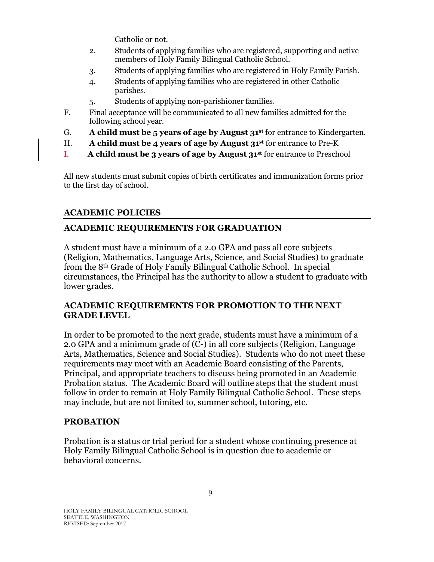Catholic or not.

- 2. Students of applying families who are registered, supporting and active members of Holy Family Bilingual Catholic School.
- 3. Students of applying families who are registered in Holy Family Parish.
- 4. Students of applying families who are registered in other Catholic parishes.
- 5. Students of applying non-parishioner families.
- F. Final acceptance will be communicated to all new families admitted for the following school year.
- G. **A child must be 5 years of age by August 31st** for entrance to Kindergarten.
- H. **A child must be 4 years of age by August 31st** for entrance to Pre-K
- I. **A child must be 3 years of age by August 31st** for entrance to Preschool

All new students must submit copies of birth certificates and immunization forms prior to the first day of school.

# <span id="page-8-0"></span>**ACADEMIC POLICIES**

# <span id="page-8-1"></span>**ACADEMIC REQUIREMENTS FOR GRADUATION**

A student must have a minimum of a 2.0 GPA and pass all core subjects (Religion, Mathematics, Language Arts, Science, and Social Studies) to graduate from the 8th Grade of Holy Family Bilingual Catholic School. In special circumstances, the Principal has the authority to allow a student to graduate with lower grades.

### **ACADEMIC REQUIREMENTS FOR PROMOTION TO THE NEXT GRADE LEVEL**

In order to be promoted to the next grade, students must have a minimum of a 2.0 GPA and a minimum grade of  $(C<sup>2</sup>)$  in all core subjects (Religion, Language Arts, Mathematics, Science and Social Studies). Students who do not meet these requirements may meet with an Academic Board consisting of the Parents, Principal, and appropriate teachers to discuss being promoted in an Academic Probation status. The Academic Board will outline steps that the student must follow in order to remain at Holy Family Bilingual Catholic School. These steps may include, but are not limited to, summer school, tutoring, etc.

# <span id="page-8-2"></span>**PROBATION**

Probation is a status or trial period for a student whose continuing presence at Holy Family Bilingual Catholic School is in question due to academic or behavioral concerns.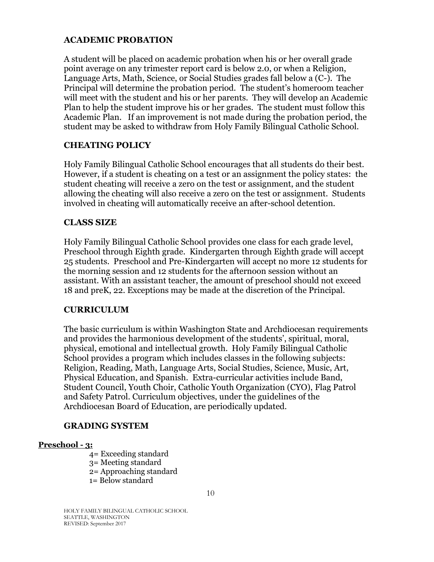#### <span id="page-9-0"></span>**ACADEMIC PROBATION**

A student will be placed on academic probation when his or her overall grade point average on any trimester report card is below 2.0, or when a Religion, Language Arts, Math, Science, or Social Studies grades fall below a (C-). The Principal will determine the probation period. The student's homeroom teacher will meet with the student and his or her parents. They will develop an Academic Plan to help the student improve his or her grades. The student must follow this Academic Plan. If an improvement is not made during the probation period, the student may be asked to withdraw from Holy Family Bilingual Catholic School.

#### <span id="page-9-1"></span>**CHEATING POLICY**

Holy Family Bilingual Catholic School encourages that all students do their best. However, if a student is cheating on a test or an assignment the policy states: the student cheating will receive a zero on the test or assignment, and the student allowing the cheating will also receive a zero on the test or assignment. Students involved in cheating will automatically receive an after-school detention.

#### <span id="page-9-2"></span>**CLASS SIZE**

Holy Family Bilingual Catholic School provides one class for each grade level, Preschool through Eighth grade. Kindergarten through Eighth grade will accept 25 students. Preschool and Pre-Kindergarten will accept no more 12 students for the morning session and 12 students for the afternoon session without an assistant. With an assistant teacher, the amount of preschool should not exceed 18 and preK, 22. Exceptions may be made at the discretion of the Principal.

#### <span id="page-9-3"></span>**CURRICULUM**

The basic curriculum is within Washington State and Archdiocesan requirements and provides the harmonious development of the students', spiritual, moral, physical, emotional and intellectual growth. Holy Family Bilingual Catholic School provides a program which includes classes in the following subjects: Religion, Reading, Math, Language Arts, Social Studies, Science, Music, Art, Physical Education, and Spanish. Extra-curricular activities include Band, Student Council, Youth Choir, Catholic Youth Organization (CYO), Flag Patrol and Safety Patrol. Curriculum objectives, under the guidelines of the Archdiocesan Board of Education, are periodically updated.

#### **GRADING SYSTEM**

#### **Preschool - 3:**

<span id="page-9-4"></span>4= Exceeding standard 3= Meeting standard 2= Approaching standard 1= Below standard

HOLY FAMILY BILINGUAL CATHOLIC SCHOOL SEATTLE, WASHINGTON REVISED: September 2017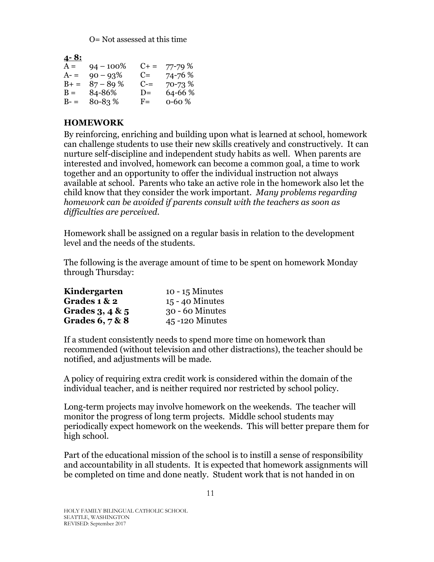O= Not assessed at this time

| <u>4-8:</u> |              |           |             |
|-------------|--------------|-----------|-------------|
| $A =$       | $94 - 100\%$ | $C_{+}$ = | 77-79 %     |
| $A-$        | $90 - 93\%$  | $C =$     | 74-76 %     |
| $B+ =$      | $87 - 89%$   | $C =$     | 70-73 %     |
| $B =$       | 84-86%       | $D=$      | 64-66 %     |
| $B-$        | 80-83%       | $F =$     | $0 - 60 \%$ |

### <span id="page-10-0"></span>**HOMEWORK**

By reinforcing, enriching and building upon what is learned at school, homework can challenge students to use their new skills creatively and constructively. It can nurture self-discipline and independent study habits as well. When parents are interested and involved, homework can become a common goal, a time to work together and an opportunity to offer the individual instruction not always available at school. Parents who take an active role in the homework also let the child know that they consider the work important. *Many problems regarding homework can be avoided if parents consult with the teachers as soon as difficulties are perceived.*

Homework shall be assigned on a regular basis in relation to the development level and the needs of the students.

The following is the average amount of time to be spent on homework Monday through Thursday:

| Kindergarten      | $10 - 15$ Minutes |
|-------------------|-------------------|
| Grades $1 & 2$    | $15 - 40$ Minutes |
| Grades $3,4$ & 5  | 30 - 60 Minutes   |
| Grades $6, 7 & 8$ | 45-120 Minutes    |

If a student consistently needs to spend more time on homework than recommended (without television and other distractions), the teacher should be notified, and adjustments will be made.

A policy of requiring extra credit work is considered within the domain of the individual teacher, and is neither required nor restricted by school policy.

Long-term projects may involve homework on the weekends. The teacher will monitor the progress of long term projects. Middle school students may periodically expect homework on the weekends. This will better prepare them for high school.

Part of the educational mission of the school is to instill a sense of responsibility and accountability in all students. It is expected that homework assignments will be completed on time and done neatly. Student work that is not handed in on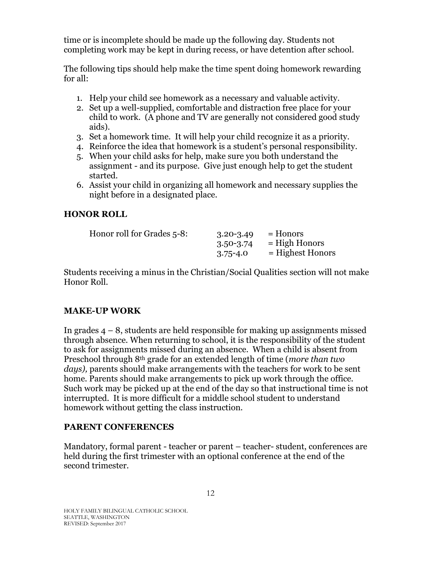time or is incomplete should be made up the following day. Students not completing work may be kept in during recess, or have detention after school.

The following tips should help make the time spent doing homework rewarding for all:

- 1. Help your child see homework as a necessary and valuable activity.
- 2. Set up a well-supplied, comfortable and distraction free place for your child to work. (A phone and TV are generally not considered good study aids).
- 3. Set a homework time. It will help your child recognize it as a priority.
- 4. Reinforce the idea that homework is a student's personal responsibility.
- 5. When your child asks for help, make sure you both understand the assignment - and its purpose. Give just enough help to get the student started.
- 6. Assist your child in organizing all homework and necessary supplies the night before in a designated place.

### <span id="page-11-0"></span>**HONOR ROLL**

| Honor roll for Grades 5-8: | $3.20 - 3.49$ | $=$ Honors         |
|----------------------------|---------------|--------------------|
|                            | $3.50 - 3.74$ | $=$ High Honors    |
|                            | $3.75 - 4.0$  | $=$ Highest Honors |

Students receiving a minus in the Christian/Social Qualities section will not make Honor Roll.

### <span id="page-11-1"></span>**MAKE-UP WORK**

In grades  $4 - 8$ , students are held responsible for making up assignments missed through absence. When returning to school, it is the responsibility of the student to ask for assignments missed during an absence. When a child is absent from Preschool through 8th grade for an extended length of time (*more than two days),* parents should make arrangements with the teachers for work to be sent home. Parents should make arrangements to pick up work through the office. Such work may be picked up at the end of the day so that instructional time is not interrupted. It is more difficult for a middle school student to understand homework without getting the class instruction.

### <span id="page-11-2"></span>**PARENT CONFERENCES**

Mandatory, formal parent - teacher or parent – teacher- student, conferences are held during the first trimester with an optional conference at the end of the second trimester.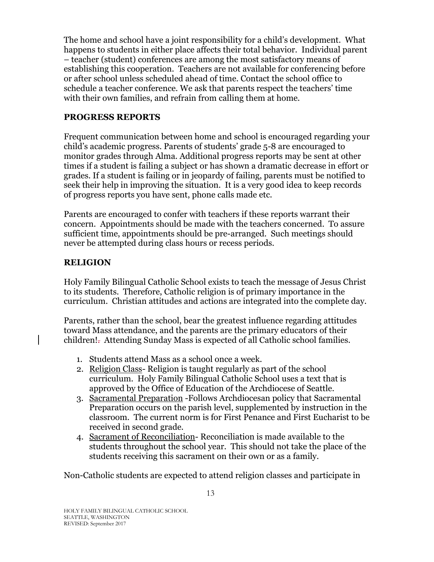The home and school have a joint responsibility for a child's development. What happens to students in either place affects their total behavior. Individual parent – teacher (student) conferences are among the most satisfactory means of establishing this cooperation. Teachers are not available for conferencing before or after school unless scheduled ahead of time. Contact the school office to schedule a teacher conference. We ask that parents respect the teachers' time with their own families, and refrain from calling them at home.

### <span id="page-12-0"></span>**PROGRESS REPORTS**

Frequent communication between home and school is encouraged regarding your child's academic progress. Parents of students' grade 5-8 are encouraged to monitor grades through Alma. Additional progress reports may be sent at other times if a student is failing a subject or has shown a dramatic decrease in effort or grades. If a student is failing or in jeopardy of failing, parents must be notified to seek their help in improving the situation. It is a very good idea to keep records of progress reports you have sent, phone calls made etc.

Parents are encouraged to confer with teachers if these reports warrant their concern. Appointments should be made with the teachers concerned. To assure sufficient time, appointments should be pre-arranged. Such meetings should never be attempted during class hours or recess periods.

### <span id="page-12-1"></span>**RELIGION**

Holy Family Bilingual Catholic School exists to teach the message of Jesus Christ to its students. Therefore, Catholic religion is of primary importance in the curriculum. Christian attitudes and actions are integrated into the complete day.

Parents, rather than the school, bear the greatest influence regarding attitudes toward Mass attendance, and the parents are the primary educators of their children!. Attending Sunday Mass is expected of all Catholic school families.

- 1. Students attend Mass as a school once a week.
- 2. Religion Class- Religion is taught regularly as part of the school curriculum. Holy Family Bilingual Catholic School uses a text that is approved by the Office of Education of the Archdiocese of Seattle.
- 3. Sacramental Preparation -Follows Archdiocesan policy that Sacramental Preparation occurs on the parish level, supplemented by instruction in the classroom. The current norm is for First Penance and First Eucharist to be received in second grade.
- 4. Sacrament of Reconciliation- Reconciliation is made available to the students throughout the school year. This should not take the place of the students receiving this sacrament on their own or as a family.

Non-Catholic students are expected to attend religion classes and participate in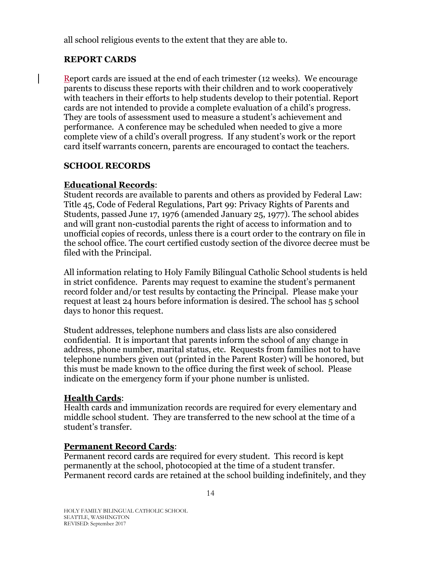all school religious events to the extent that they are able to.

### <span id="page-13-0"></span>**REPORT CARDS**

Report cards are issued at the end of each trimester (12 weeks). We encourage parents to discuss these reports with their children and to work cooperatively with teachers in their efforts to help students develop to their potential. Report cards are not intended to provide a complete evaluation of a child's progress. They are tools of assessment used to measure a student's achievement and performance. A conference may be scheduled when needed to give a more complete view of a child's overall progress. If any student's work or the report card itself warrants concern, parents are encouraged to contact the teachers.

### <span id="page-13-1"></span>**SCHOOL RECORDS**

### **Educational Records**:

Student records are available to parents and others as provided by Federal Law: Title 45, Code of Federal Regulations, Part 99: Privacy Rights of Parents and Students, passed June 17, 1976 (amended January 25, 1977). The school abides and will grant non-custodial parents the right of access to information and to unofficial copies of records, unless there is a court order to the contrary on file in the school office. The court certified custody section of the divorce decree must be filed with the Principal.

All information relating to Holy Family Bilingual Catholic School students is held in strict confidence. Parents may request to examine the student's permanent record folder and/or test results by contacting the Principal. Please make your request at least 24 hours before information is desired. The school has 5 school days to honor this request.

Student addresses, telephone numbers and class lists are also considered confidential. It is important that parents inform the school of any change in address, phone number, marital status, etc. Requests from families not to have telephone numbers given out (printed in the Parent Roster) will be honored, but this must be made known to the office during the first week of school. Please indicate on the emergency form if your phone number is unlisted.

### **Health Cards**:

Health cards and immunization records are required for every elementary and middle school student. They are transferred to the new school at the time of a student's transfer.

### **Permanent Record Cards**:

Permanent record cards are required for every student. This record is kept permanently at the school, photocopied at the time of a student transfer. Permanent record cards are retained at the school building indefinitely, and they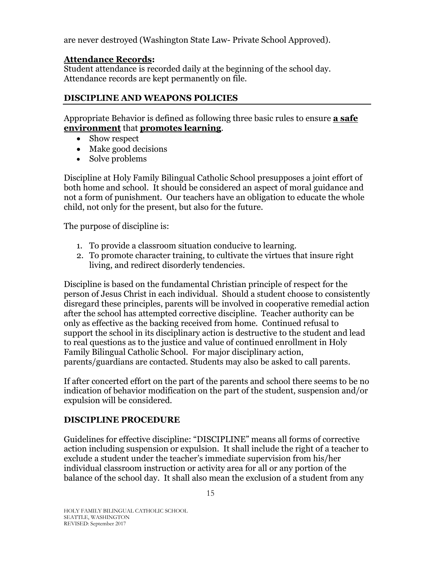are never destroyed (Washington State Law- Private School Approved).

### **Attendance Records:**

Student attendance is recorded daily at the beginning of the school day. Attendance records are kept permanently on file.

### <span id="page-14-0"></span>**DISCIPLINE AND WEAPONS POLICIES**

Appropriate Behavior is defined as following three basic rules to ensure **a safe environment** that **promotes learning**.

- Show respect
- Make good decisions
- Solve problems

Discipline at Holy Family Bilingual Catholic School presupposes a joint effort of both home and school. It should be considered an aspect of moral guidance and not a form of punishment. Our teachers have an obligation to educate the whole child, not only for the present, but also for the future.

The purpose of discipline is:

- 1. To provide a classroom situation conducive to learning.
- 2. To promote character training, to cultivate the virtues that insure right living, and redirect disorderly tendencies.

Discipline is based on the fundamental Christian principle of respect for the person of Jesus Christ in each individual. Should a student choose to consistently disregard these principles, parents will be involved in cooperative remedial action after the school has attempted corrective discipline. Teacher authority can be only as effective as the backing received from home. Continued refusal to support the school in its disciplinary action is destructive to the student and lead to real questions as to the justice and value of continued enrollment in Holy Family Bilingual Catholic School. For major disciplinary action, parents/guardians are contacted. Students may also be asked to call parents.

If after concerted effort on the part of the parents and school there seems to be no indication of behavior modification on the part of the student, suspension and/or expulsion will be considered.

#### <span id="page-14-1"></span>**DISCIPLINE PROCEDURE**

Guidelines for effective discipline: "DISCIPLINE" means all forms of corrective action including suspension or expulsion. It shall include the right of a teacher to exclude a student under the teacher's immediate supervision from his/her individual classroom instruction or activity area for all or any portion of the balance of the school day. It shall also mean the exclusion of a student from any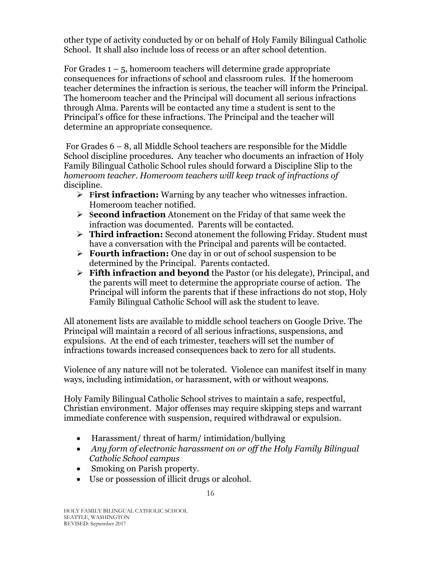other type of activity conducted by or on behalf of Holy Family Bilingual Catholic School. It shall also include loss of recess or an after school detention.

For Grades  $1 - 5$ , homeroom teachers will determine grade appropriate consequences for infractions of school and classroom rules. If the homeroom teacher determines the infraction is serious, the teacher will inform the Principal. The homeroom teacher and the Principal will document all serious infractions through Alma. Parents will be contacted any time a student is sent to the Principal's office for these infractions. The Principal and the teacher will determine an appropriate consequence.

For Grades 6 – 8, all Middle School teachers are responsible for the Middle School discipline procedures. Any teacher who documents an infraction of Holy Family Bilingual Catholic School rules should forward a Discipline Slip to the *homeroom teacher. Homeroom teachers will keep track of infractions of*  discipline.

- **First infraction:** Warning by any teacher who witnesses infraction. Homeroom teacher notified.
- **Second infraction** Atonement on the Friday of that same week the infraction was documented. Parents will be contacted.
- **Third infraction:** Second atonement the following Friday. Student must have a conversation with the Principal and parents will be contacted.
- **Fourth infraction:** One day in or out of school suspension to be determined by the Principal. Parents contacted.
- **Fifth infraction and beyond** the Pastor (or his delegate), Principal, and the parents will meet to determine the appropriate course of action. The Principal will inform the parents that if these infractions do not stop, Holy Family Bilingual Catholic School will ask the student to leave.

All atonement lists are available to middle school teachers on Google Drive. The Principal will maintain a record of all serious infractions, suspensions, and expulsions. At the end of each trimester, teachers will set the number of infractions towards increased consequences back to zero for all students.

Violence of any nature will not be tolerated. Violence can manifest itself in many ways, including intimidation, or harassment, with or without weapons.

Holy Family Bilingual Catholic School strives to maintain a safe, respectful, Christian environment. Major offenses may require skipping steps and warrant immediate conference with suspension, required withdrawal or expulsion.

- Harassment/ threat of harm/ intimidation/bullying
- *Any form of electronic harassment on or off the Holy Family Bilingual Catholic School campus*
- Smoking on Parish property.
- Use or possession of illicit drugs or alcohol.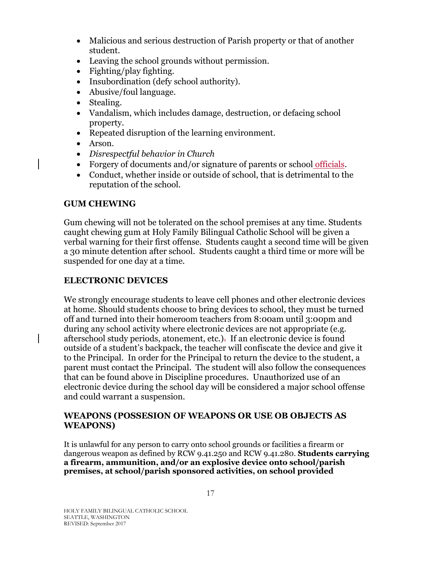- Malicious and serious destruction of Parish property or that of another student.
- Leaving the school grounds without permission.
- Fighting/play fighting.
- Insubordination (defy school authority).
- Abusive/foul language.
- Stealing.
- Vandalism, which includes damage, destruction, or defacing school property.
- Repeated disruption of the learning environment.
- Arson.
- *Disrespectful behavior in Church*
- Forgery of documents and/or signature of parents or school officials.
- Conduct, whether inside or outside of school, that is detrimental to the reputation of the school.

#### <span id="page-16-0"></span>**GUM CHEWING**

Gum chewing will not be tolerated on the school premises at any time. Students caught chewing gum at Holy Family Bilingual Catholic School will be given a verbal warning for their first offense. Students caught a second time will be given a 30 minute detention after school. Students caught a third time or more will be suspended for one day at a time.

#### **ELECTRONIC DEVICES**

We strongly encourage students to leave cell phones and other electronic devices at home. Should students choose to bring devices to school, they must be turned off and turned into their homeroom teachers from 8:00am until 3:00pm and during any school activity where electronic devices are not appropriate (e.g. afterschool study periods, atonement, etc.). If an electronic device is found outside of a student's backpack, the teacher will confiscate the device and give it to the Principal. In order for the Principal to return the device to the student, a parent must contact the Principal. The student will also follow the consequences that can be found above in Discipline procedures. Unauthorized use of an electronic device during the school day will be considered a major school offense and could warrant a suspension.

#### <span id="page-16-1"></span>**WEAPONS (POSSESION OF WEAPONS OR USE OB OBJECTS AS WEAPONS)**

It is unlawful for any person to carry onto school grounds or facilities a firearm or dangerous weapon as defined by RCW 9.41.250 and RCW 9.41.280. **Students carrying a firearm, ammunition, and/or an explosive device onto school/parish premises, at school/parish sponsored activities, on school provided**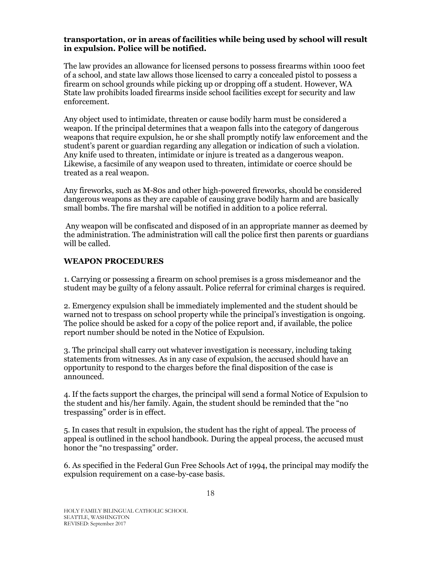#### **transportation, or in areas of facilities while being used by school will result in expulsion. Police will be notified.**

The law provides an allowance for licensed persons to possess firearms within 1000 feet of a school, and state law allows those licensed to carry a concealed pistol to possess a firearm on school grounds while picking up or dropping off a student. However, WA State law prohibits loaded firearms inside school facilities except for security and law enforcement.

Any object used to intimidate, threaten or cause bodily harm must be considered a weapon. If the principal determines that a weapon falls into the category of dangerous weapons that require expulsion, he or she shall promptly notify law enforcement and the student's parent or guardian regarding any allegation or indication of such a violation. Any knife used to threaten, intimidate or injure is treated as a dangerous weapon. Likewise, a facsimile of any weapon used to threaten, intimidate or coerce should be treated as a real weapon.

Any fireworks, such as M-80s and other high-powered fireworks, should be considered dangerous weapons as they are capable of causing grave bodily harm and are basically small bombs. The fire marshal will be notified in addition to a police referral.

Any weapon will be confiscated and disposed of in an appropriate manner as deemed by the administration. The administration will call the police first then parents or guardians will be called.

#### **WEAPON PROCEDURES**

1. Carrying or possessing a firearm on school premises is a gross misdemeanor and the student may be guilty of a felony assault. Police referral for criminal charges is required.

2. Emergency expulsion shall be immediately implemented and the student should be warned not to trespass on school property while the principal's investigation is ongoing. The police should be asked for a copy of the police report and, if available, the police report number should be noted in the Notice of Expulsion.

3. The principal shall carry out whatever investigation is necessary, including taking statements from witnesses. As in any case of expulsion, the accused should have an opportunity to respond to the charges before the final disposition of the case is announced.

4. If the facts support the charges, the principal will send a formal Notice of Expulsion to the student and his/her family. Again, the student should be reminded that the "no trespassing" order is in effect.

5. In cases that result in expulsion, the student has the right of appeal. The process of appeal is outlined in the school handbook. During the appeal process, the accused must honor the "no trespassing" order.

6. As specified in the Federal Gun Free Schools Act of 1994, the principal may modify the expulsion requirement on a case-by-case basis.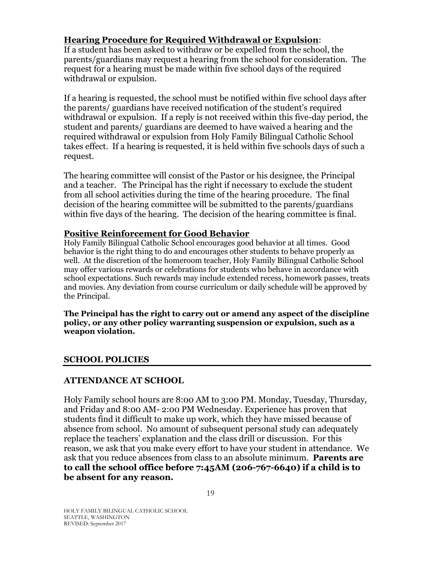### **Hearing Procedure for Required Withdrawal or Expulsion**:

If a student has been asked to withdraw or be expelled from the school, the parents/guardians may request a hearing from the school for consideration. The request for a hearing must be made within five school days of the required withdrawal or expulsion.

If a hearing is requested, the school must be notified within five school days after the parents/ guardians have received notification of the student's required withdrawal or expulsion. If a reply is not received within this five-day period, the student and parents/ guardians are deemed to have waived a hearing and the required withdrawal or expulsion from Holy Family Bilingual Catholic School takes effect. If a hearing is requested, it is held within five schools days of such a request.

The hearing committee will consist of the Pastor or his designee, the Principal and a teacher. The Principal has the right if necessary to exclude the student from all school activities during the time of the hearing procedure. The final decision of the hearing committee will be submitted to the parents/guardians within five days of the hearing. The decision of the hearing committee is final.

#### **Positive Reinforcement for Good Behavior**

Holy Family Bilingual Catholic School encourages good behavior at all times. Good behavior is the right thing to do and encourages other students to behave properly as well. At the discretion of the homeroom teacher, Holy Family Bilingual Catholic School may offer various rewards or celebrations for students who behave in accordance with school expectations. Such rewards may include extended recess, homework passes, treats and movies. Any deviation from course curriculum or daily schedule will be approved by the Principal.

**The Principal has the right to carry out or amend any aspect of the discipline policy, or any other policy warranting suspension or expulsion, such as a weapon violation.** 

#### <span id="page-18-0"></span>**SCHOOL POLICIES**

#### <span id="page-18-1"></span>**ATTENDANCE AT SCHOOL**

Holy Family school hours are 8:00 AM to 3:00 PM. Monday, Tuesday, Thursday, and Friday and 8:00 AM- 2:00 PM Wednesday. Experience has proven that students find it difficult to make up work, which they have missed because of absence from school. No amount of subsequent personal study can adequately replace the teachers' explanation and the class drill or discussion. For this reason, we ask that you make every effort to have your student in attendance. We ask that you reduce absences from class to an absolute minimum. **Parents are to call the school office before 7:45AM (206-767-6640) if a child is to be absent for any reason.**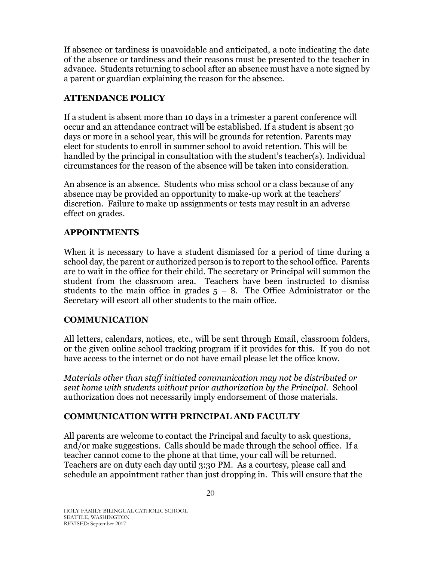If absence or tardiness is unavoidable and anticipated, a note indicating the date of the absence or tardiness and their reasons must be presented to the teacher in advance. Students returning to school after an absence must have a note signed by a parent or guardian explaining the reason for the absence.

### <span id="page-19-0"></span>**ATTENDANCE POLICY**

If a student is absent more than 10 days in a trimester a parent conference will occur and an attendance contract will be established. If a student is absent 30 days or more in a school year, this will be grounds for retention. Parents may elect for students to enroll in summer school to avoid retention. This will be handled by the principal in consultation with the student's teacher(s). Individual circumstances for the reason of the absence will be taken into consideration.

An absence is an absence. Students who miss school or a class because of any absence may be provided an opportunity to make-up work at the teachers' discretion. Failure to make up assignments or tests may result in an adverse effect on grades.

### <span id="page-19-1"></span>**APPOINTMENTS**

When it is necessary to have a student dismissed for a period of time during a school day, the parent or authorized person is to report to the school office. Parents are to wait in the office for their child. The secretary or Principal will summon the student from the classroom area. Teachers have been instructed to dismiss students to the main office in grades  $5 - 8$ . The Office Administrator or the Secretary will escort all other students to the main office.

#### <span id="page-19-2"></span>**COMMUNICATION**

All letters, calendars, notices, etc., will be sent through Email, classroom folders, or the given online school tracking program if it provides for this. If you do not have access to the internet or do not have email please let the office know.

*Materials other than staff initiated communication may not be distributed or sent home with students without prior authorization by the Principal.* School authorization does not necessarily imply endorsement of those materials.

### <span id="page-19-3"></span>**COMMUNICATION WITH PRINCIPAL AND FACULTY**

All parents are welcome to contact the Principal and faculty to ask questions, and/or make suggestions. Calls should be made through the school office. If a teacher cannot come to the phone at that time, your call will be returned. Teachers are on duty each day until 3:30 PM. As a courtesy, please call and schedule an appointment rather than just dropping in. This will ensure that the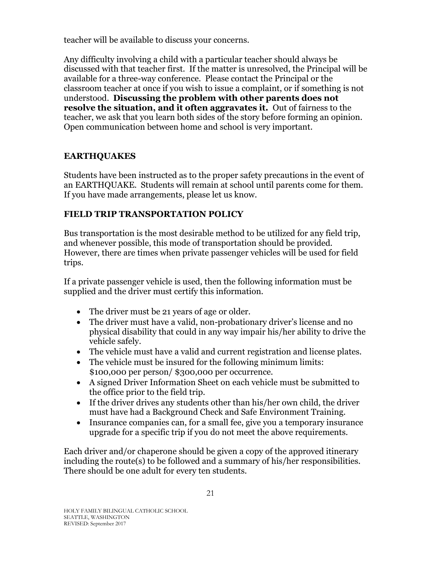teacher will be available to discuss your concerns.

Any difficulty involving a child with a particular teacher should always be discussed with that teacher first. If the matter is unresolved, the Principal will be available for a three-way conference. Please contact the Principal or the classroom teacher at once if you wish to issue a complaint, or if something is not understood. **Discussing the problem with other parents does not resolve the situation, and it often aggravates it.** Out of fairness to the teacher, we ask that you learn both sides of the story before forming an opinion. Open communication between home and school is very important.

# <span id="page-20-0"></span>**EARTHQUAKES**

Students have been instructed as to the proper safety precautions in the event of an EARTHQUAKE. Students will remain at school until parents come for them. If you have made arrangements, please let us know.

# <span id="page-20-1"></span>**FIELD TRIP TRANSPORTATION POLICY**

Bus transportation is the most desirable method to be utilized for any field trip, and whenever possible, this mode of transportation should be provided. However, there are times when private passenger vehicles will be used for field trips.

If a private passenger vehicle is used, then the following information must be supplied and the driver must certify this information.

- The driver must be 21 years of age or older.
- The driver must have a valid, non-probationary driver's license and no physical disability that could in any way impair his/her ability to drive the vehicle safely.
- The vehicle must have a valid and current registration and license plates.
- The vehicle must be insured for the following minimum limits: \$100,000 per person/ \$300,000 per occurrence.
- A signed Driver Information Sheet on each vehicle must be submitted to the office prior to the field trip.
- If the driver drives any students other than his/her own child, the driver must have had a Background Check and Safe Environment Training.
- Insurance companies can, for a small fee, give you a temporary insurance upgrade for a specific trip if you do not meet the above requirements.

Each driver and/or chaperone should be given a copy of the approved itinerary including the route(s) to be followed and a summary of his/her responsibilities. There should be one adult for every ten students.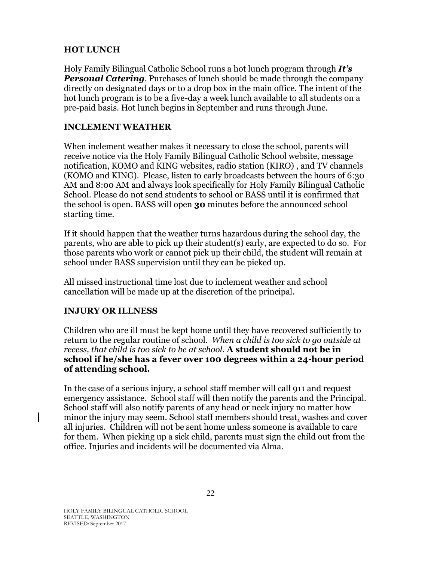### <span id="page-21-0"></span>**HOT LUNCH**

Holy Family Bilingual Catholic School runs a hot lunch program through *It's Personal Catering*. Purchases of lunch should be made through the company directly on designated days or to a drop box in the main office. The intent of the hot lunch program is to be a five-day a week lunch available to all students on a pre-paid basis. Hot lunch begins in September and runs through June.

### <span id="page-21-1"></span>**INCLEMENT WEATHER**

When inclement weather makes it necessary to close the school, parents will receive notice via the Holy Family Bilingual Catholic School website, message notification, KOMO and KING websites, radio station (KIRO) , and TV channels (KOMO and KING). Please, listen to early broadcasts between the hours of 6:30 AM and 8:00 AM and always look specifically for Holy Family Bilingual Catholic School. Please do not send students to school or BASS until it is confirmed that the school is open. BASS will open **30** minutes before the announced school starting time.

If it should happen that the weather turns hazardous during the school day, the parents, who are able to pick up their student(s) early, are expected to do so. For those parents who work or cannot pick up their child, the student will remain at school under BASS supervision until they can be picked up.

All missed instructional time lost due to inclement weather and school cancellation will be made up at the discretion of the principal.

#### <span id="page-21-2"></span>**INJURY OR ILLNESS**

Children who are ill must be kept home until they have recovered sufficiently to return to the regular routine of school. *When a child is too sick to go outside at recess, that child is too sick to be at school.* **A student should not be in school if he/she has a fever over 100 degrees within a 24-hour period of attending school.**

In the case of a serious injury, a school staff member will call 911 and request emergency assistance. School staff will then notify the parents and the Principal. School staff will also notify parents of any head or neck injury no matter how minor the injury may seem. School staff members should treat, washes and cover all injuries. Children will not be sent home unless someone is available to care for them. When picking up a sick child, parents must sign the child out from the office. Injuries and incidents will be documented via Alma.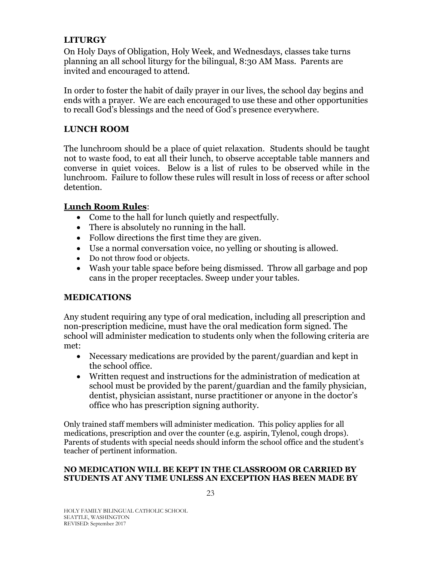### <span id="page-22-0"></span>**LITURGY**

On Holy Days of Obligation, Holy Week, and Wednesdays, classes take turns planning an all school liturgy for the bilingual, 8:30 AM Mass. Parents are invited and encouraged to attend.

In order to foster the habit of daily prayer in our lives, the school day begins and ends with a prayer. We are each encouraged to use these and other opportunities to recall God's blessings and the need of God's presence everywhere.

### <span id="page-22-1"></span>**LUNCH ROOM**

The lunchroom should be a place of quiet relaxation. Students should be taught not to waste food, to eat all their lunch, to observe acceptable table manners and converse in quiet voices. Below is a list of rules to be observed while in the lunchroom. Failure to follow these rules will result in loss of recess or after school detention.

#### **Lunch Room Rules**:

- Come to the hall for lunch quietly and respectfully.
- There is absolutely no running in the hall.
- Follow directions the first time they are given.
- Use a normal conversation voice, no yelling or shouting is allowed.
- Do not throw food or objects.
- Wash your table space before being dismissed. Throw all garbage and pop cans in the proper receptacles. Sweep under your tables.

#### <span id="page-22-2"></span>**MEDICATIONS**

Any student requiring any type of oral medication, including all prescription and non-prescription medicine, must have the oral medication form signed. The school will administer medication to students only when the following criteria are met:

- Necessary medications are provided by the parent/guardian and kept in the school office.
- Written request and instructions for the administration of medication at school must be provided by the parent/guardian and the family physician, dentist, physician assistant, nurse practitioner or anyone in the doctor's office who has prescription signing authority.

Only trained staff members will administer medication. This policy applies for all medications, prescription and over the counter (e.g. aspirin, Tylenol, cough drops). Parents of students with special needs should inform the school office and the student's teacher of pertinent information.

#### **NO MEDICATION WILL BE KEPT IN THE CLASSROOM OR CARRIED BY STUDENTS AT ANY TIME UNLESS AN EXCEPTION HAS BEEN MADE BY**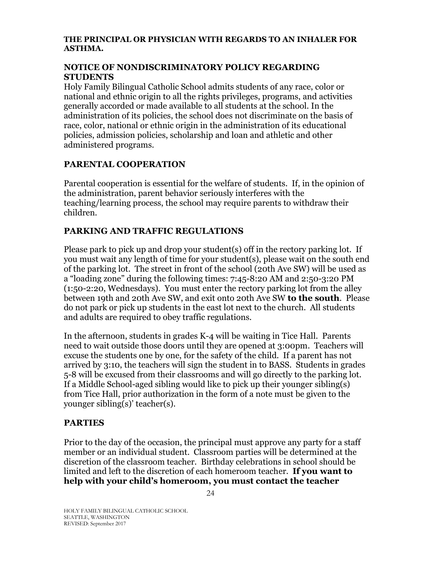#### **THE PRINCIPAL OR PHYSICIAN WITH REGARDS TO AN INHALER FOR ASTHMA.**

#### <span id="page-23-0"></span>**NOTICE OF NONDISCRIMINATORY POLICY REGARDING STUDENTS**

Holy Family Bilingual Catholic School admits students of any race, color or national and ethnic origin to all the rights privileges, programs, and activities generally accorded or made available to all students at the school. In the administration of its policies, the school does not discriminate on the basis of race, color, national or ethnic origin in the administration of its educational policies, admission policies, scholarship and loan and athletic and other administered programs.

### **PARENTAL COOPERATION**

Parental cooperation is essential for the welfare of students. If, in the opinion of the administration, parent behavior seriously interferes with the teaching/learning process, the school may require parents to withdraw their children.

### <span id="page-23-1"></span>**PARKING AND TRAFFIC REGULATIONS**

Please park to pick up and drop your student(s) off in the rectory parking lot. If you must wait any length of time for your student(s), please wait on the south end of the parking lot. The street in front of the school (20th Ave SW) will be used as a "loading zone" during the following times: 7:45-8:20 AM and 2:50-3:20 PM (1:50-2:20, Wednesdays). You must enter the rectory parking lot from the alley between 19th and 20th Ave SW, and exit onto 20th Ave SW **to the south**. Please do not park or pick up students in the east lot next to the church. All students and adults are required to obey traffic regulations.

In the afternoon, students in grades K-4 will be waiting in Tice Hall. Parents need to wait outside those doors until they are opened at 3:00pm. Teachers will excuse the students one by one, for the safety of the child. If a parent has not arrived by 3:10, the teachers will sign the student in to BASS. Students in grades 5-8 will be excused from their classrooms and will go directly to the parking lot. If a Middle School-aged sibling would like to pick up their younger sibling(s) from Tice Hall, prior authorization in the form of a note must be given to the younger sibling(s)' teacher(s).

### <span id="page-23-2"></span>**PARTIES**

Prior to the day of the occasion, the principal must approve any party for a staff member or an individual student. Classroom parties will be determined at the discretion of the classroom teacher. Birthday celebrations in school should be limited and left to the discretion of each homeroom teacher. **If you want to help with your child's homeroom, you must contact the teacher**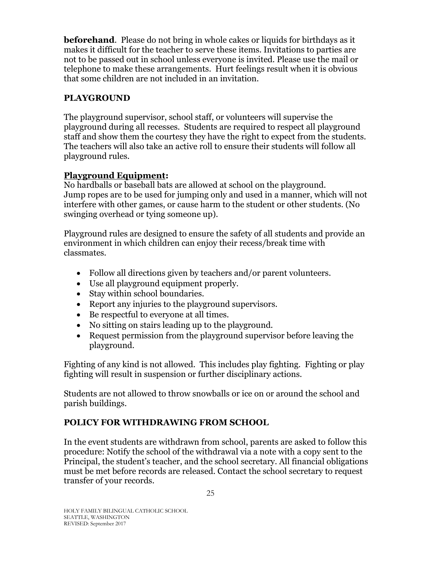**beforehand**. Please do not bring in whole cakes or liquids for birthdays as it makes it difficult for the teacher to serve these items. Invitations to parties are not to be passed out in school unless everyone is invited. Please use the mail or telephone to make these arrangements. Hurt feelings result when it is obvious that some children are not included in an invitation.

# <span id="page-24-0"></span>**PLAYGROUND**

The playground supervisor, school staff, or volunteers will supervise the playground during all recesses. Students are required to respect all playground staff and show them the courtesy they have the right to expect from the students. The teachers will also take an active roll to ensure their students will follow all playground rules.

### **Playground Equipment:**

No hardballs or baseball bats are allowed at school on the playground. Jump ropes are to be used for jumping only and used in a manner, which will not interfere with other games, or cause harm to the student or other students. (No swinging overhead or tying someone up).

Playground rules are designed to ensure the safety of all students and provide an environment in which children can enjoy their recess/break time with classmates.

- Follow all directions given by teachers and/or parent volunteers.
- Use all playground equipment properly.
- Stay within school boundaries.
- Report any injuries to the playground supervisors.
- Be respectful to everyone at all times.
- No sitting on stairs leading up to the playground.
- Request permission from the playground supervisor before leaving the playground.

Fighting of any kind is not allowed. This includes play fighting. Fighting or play fighting will result in suspension or further disciplinary actions.

Students are not allowed to throw snowballs or ice on or around the school and parish buildings.

### <span id="page-24-1"></span>**POLICY FOR WITHDRAWING FROM SCHOOL**

In the event students are withdrawn from school, parents are asked to follow this procedure: Notify the school of the withdrawal via a note with a copy sent to the Principal, the student's teacher, and the school secretary. All financial obligations must be met before records are released. Contact the school secretary to request transfer of your records.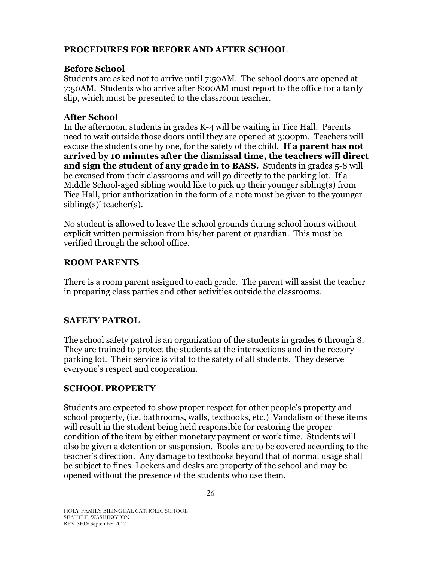### <span id="page-25-0"></span>**PROCEDURES FOR BEFORE AND AFTER SCHOOL**

### **Before School**

Students are asked not to arrive until 7:50AM. The school doors are opened at 7:50AM. Students who arrive after 8:00AM must report to the office for a tardy slip, which must be presented to the classroom teacher.

### **After School**

In the afternoon, students in grades K-4 will be waiting in Tice Hall. Parents need to wait outside those doors until they are opened at 3:00pm. Teachers will excuse the students one by one, for the safety of the child. **If a parent has not arrived by 10 minutes after the dismissal time, the teachers will direct and sign the student of any grade in to BASS.** Students in grades 5-8 will be excused from their classrooms and will go directly to the parking lot. If a Middle School-aged sibling would like to pick up their younger sibling(s) from Tice Hall, prior authorization in the form of a note must be given to the younger sibling(s)' teacher(s).

No student is allowed to leave the school grounds during school hours without explicit written permission from his/her parent or guardian. This must be verified through the school office.

### <span id="page-25-1"></span>**ROOM PARENTS**

There is a room parent assigned to each grade. The parent will assist the teacher in preparing class parties and other activities outside the classrooms.

### <span id="page-25-2"></span>**SAFETY PATROL**

The school safety patrol is an organization of the students in grades 6 through 8. They are trained to protect the students at the intersections and in the rectory parking lot. Their service is vital to the safety of all students. They deserve everyone's respect and cooperation.

### <span id="page-25-3"></span>**SCHOOL PROPERTY**

Students are expected to show proper respect for other people's property and school property, (i.e. bathrooms, walls, textbooks, etc.) Vandalism of these items will result in the student being held responsible for restoring the proper condition of the item by either monetary payment or work time. Students will also be given a detention or suspension. Books are to be covered according to the teacher's direction. Any damage to textbooks beyond that of normal usage shall be subject to fines. Lockers and desks are property of the school and may be opened without the presence of the students who use them.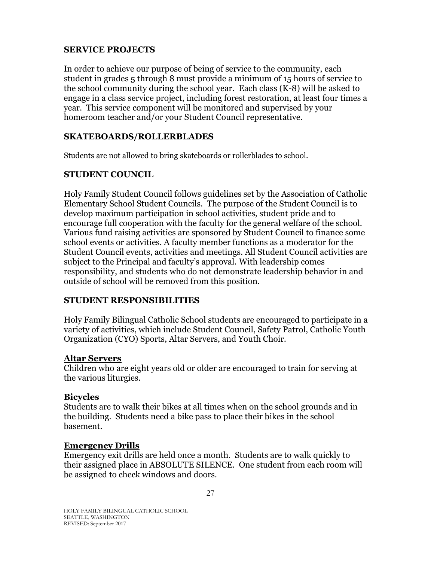### <span id="page-26-0"></span>**SERVICE PROJECTS**

In order to achieve our purpose of being of service to the community, each student in grades 5 through 8 must provide a minimum of 15 hours of service to the school community during the school year. Each class (K-8) will be asked to engage in a class service project, including forest restoration, at least four times a year. This service component will be monitored and supervised by your homeroom teacher and/or your Student Council representative.

### <span id="page-26-1"></span>**SKATEBOARDS/ROLLERBLADES**

Students are not allowed to bring skateboards or rollerblades to school.

### <span id="page-26-2"></span>**STUDENT COUNCIL**

Holy Family Student Council follows guidelines set by the Association of Catholic Elementary School Student Councils. The purpose of the Student Council is to develop maximum participation in school activities, student pride and to encourage full cooperation with the faculty for the general welfare of the school. Various fund raising activities are sponsored by Student Council to finance some school events or activities. A faculty member functions as a moderator for the Student Council events, activities and meetings. All Student Council activities are subject to the Principal and faculty's approval. With leadership comes responsibility, and students who do not demonstrate leadership behavior in and outside of school will be removed from this position.

### <span id="page-26-3"></span>**STUDENT RESPONSIBILITIES**

Holy Family Bilingual Catholic School students are encouraged to participate in a variety of activities, which include Student Council, Safety Patrol, Catholic Youth Organization (CYO) Sports, Altar Servers, and Youth Choir.

#### **Altar Servers**

Children who are eight years old or older are encouraged to train for serving at the various liturgies.

#### **Bicycles**

Students are to walk their bikes at all times when on the school grounds and in the building. Students need a bike pass to place their bikes in the school basement.

#### **Emergency Drills**

Emergency exit drills are held once a month. Students are to walk quickly to their assigned place in ABSOLUTE SILENCE. One student from each room will be assigned to check windows and doors.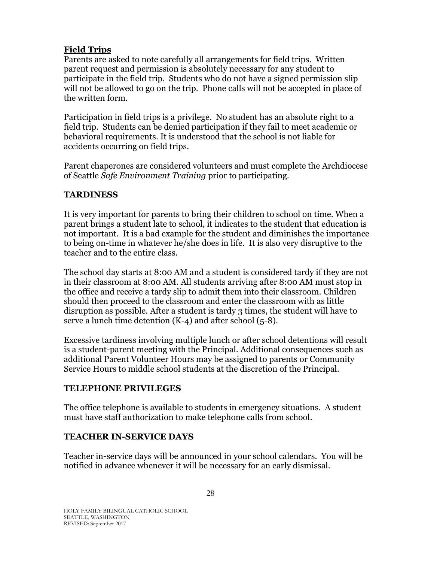# **Field Trips**

Parents are asked to note carefully all arrangements for field trips. Written parent request and permission is absolutely necessary for any student to participate in the field trip. Students who do not have a signed permission slip will not be allowed to go on the trip. Phone calls will not be accepted in place of the written form.

Participation in field trips is a privilege. No student has an absolute right to a field trip. Students can be denied participation if they fail to meet academic or behavioral requirements. It is understood that the school is not liable for accidents occurring on field trips.

Parent chaperones are considered volunteers and must complete the Archdiocese of Seattle *Safe Environment Training* prior to participating.

# <span id="page-27-0"></span>**TARDINESS**

It is very important for parents to bring their children to school on time. When a parent brings a student late to school, it indicates to the student that education is not important. It is a bad example for the student and diminishes the importance to being on-time in whatever he/she does in life. It is also very disruptive to the teacher and to the entire class.

The school day starts at 8:00 AM and a student is considered tardy if they are not in their classroom at 8:00 AM. All students arriving after 8:00 AM must stop in the office and receive a tardy slip to admit them into their classroom. Children should then proceed to the classroom and enter the classroom with as little disruption as possible. After a student is tardy 3 times, the student will have to serve a lunch time detention  $(K-4)$  and after school  $(5-8)$ .

Excessive tardiness involving multiple lunch or after school detentions will result is a student-parent meeting with the Principal. Additional consequences such as additional Parent Volunteer Hours may be assigned to parents or Community Service Hours to middle school students at the discretion of the Principal.

# <span id="page-27-1"></span>**TELEPHONE PRIVILEGES**

The office telephone is available to students in emergency situations. A student must have staff authorization to make telephone calls from school.

# <span id="page-27-2"></span>**TEACHER IN-SERVICE DAYS**

Teacher in-service days will be announced in your school calendars. You will be notified in advance whenever it will be necessary for an early dismissal.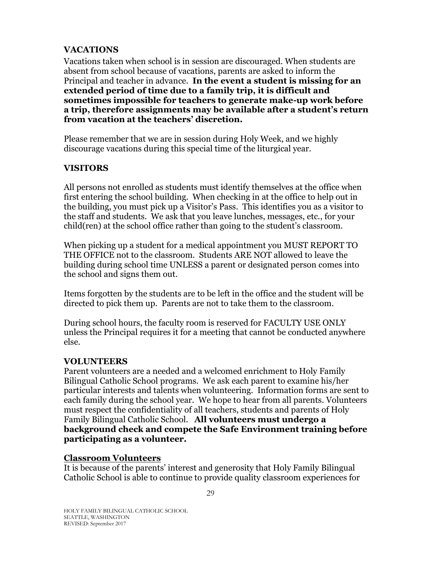### <span id="page-28-0"></span>**VACATIONS**

Vacations taken when school is in session are discouraged. When students are absent from school because of vacations, parents are asked to inform the Principal and teacher in advance. **In the event a student is missing for an extended period of time due to a family trip, it is difficult and sometimes impossible for teachers to generate make-up work before a trip, therefore assignments may be available after a student's return from vacation at the teachers' discretion.** 

Please remember that we are in session during Holy Week, and we highly discourage vacations during this special time of the liturgical year.

### <span id="page-28-1"></span>**VISITORS**

All persons not enrolled as students must identify themselves at the office when first entering the school building. When checking in at the office to help out in the building, you must pick up a Visitor's Pass. This identifies you as a visitor to the staff and students. We ask that you leave lunches, messages, etc., for your child(ren) at the school office rather than going to the student's classroom.

When picking up a student for a medical appointment you MUST REPORT TO THE OFFICE not to the classroom. Students ARE NOT allowed to leave the building during school time UNLESS a parent or designated person comes into the school and signs them out.

Items forgotten by the students are to be left in the office and the student will be directed to pick them up. Parents are not to take them to the classroom.

During school hours, the faculty room is reserved for FACULTY USE ONLY unless the Principal requires it for a meeting that cannot be conducted anywhere else.

### <span id="page-28-2"></span>**VOLUNTEERS**

Parent volunteers are a needed and a welcomed enrichment to Holy Family Bilingual Catholic School programs. We ask each parent to examine his/her particular interests and talents when volunteering. Information forms are sent to each family during the school year. We hope to hear from all parents. Volunteers must respect the confidentiality of all teachers, students and parents of Holy Family Bilingual Catholic School. **All volunteers must undergo a background check and compete the Safe Environment training before participating as a volunteer.**

#### **Classroom Volunteers**

It is because of the parents' interest and generosity that Holy Family Bilingual Catholic School is able to continue to provide quality classroom experiences for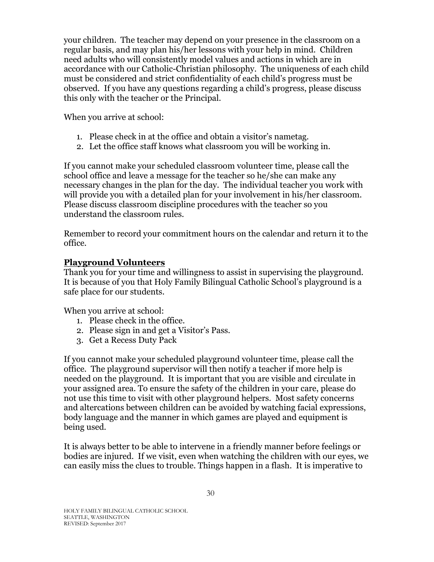your children. The teacher may depend on your presence in the classroom on a regular basis, and may plan his/her lessons with your help in mind. Children need adults who will consistently model values and actions in which are in accordance with our Catholic-Christian philosophy. The uniqueness of each child must be considered and strict confidentiality of each child's progress must be observed. If you have any questions regarding a child's progress, please discuss this only with the teacher or the Principal.

When you arrive at school:

- 1. Please check in at the office and obtain a visitor's nametag.
- 2. Let the office staff knows what classroom you will be working in.

If you cannot make your scheduled classroom volunteer time, please call the school office and leave a message for the teacher so he/she can make any necessary changes in the plan for the day. The individual teacher you work with will provide you with a detailed plan for your involvement in his/her classroom. Please discuss classroom discipline procedures with the teacher so you understand the classroom rules.

Remember to record your commitment hours on the calendar and return it to the office.

### **Playground Volunteers**

Thank you for your time and willingness to assist in supervising the playground. It is because of you that Holy Family Bilingual Catholic School's playground is a safe place for our students.

When you arrive at school:

- 1. Please check in the office.
- 2. Please sign in and get a Visitor's Pass.
- 3. Get a Recess Duty Pack

If you cannot make your scheduled playground volunteer time, please call the office. The playground supervisor will then notify a teacher if more help is needed on the playground. It is important that you are visible and circulate in your assigned area. To ensure the safety of the children in your care, please do not use this time to visit with other playground helpers. Most safety concerns and altercations between children can be avoided by watching facial expressions, body language and the manner in which games are played and equipment is being used.

It is always better to be able to intervene in a friendly manner before feelings or bodies are injured. If we visit, even when watching the children with our eyes, we can easily miss the clues to trouble. Things happen in a flash. It is imperative to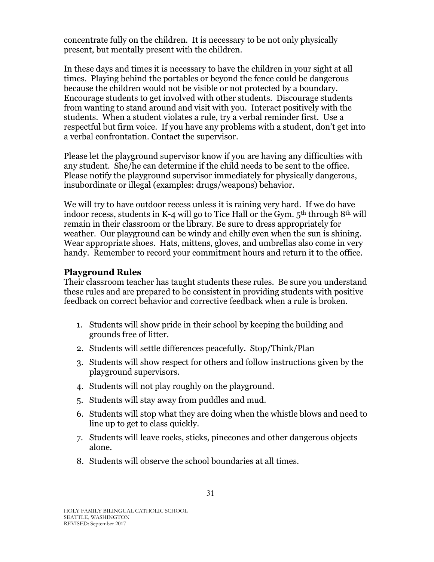concentrate fully on the children. It is necessary to be not only physically present, but mentally present with the children.

In these days and times it is necessary to have the children in your sight at all times. Playing behind the portables or beyond the fence could be dangerous because the children would not be visible or not protected by a boundary. Encourage students to get involved with other students. Discourage students from wanting to stand around and visit with you. Interact positively with the students. When a student violates a rule, try a verbal reminder first. Use a respectful but firm voice. If you have any problems with a student, don't get into a verbal confrontation. Contact the supervisor.

Please let the playground supervisor know if you are having any difficulties with any student. She/he can determine if the child needs to be sent to the office. Please notify the playground supervisor immediately for physically dangerous, insubordinate or illegal (examples: drugs/weapons) behavior.

We will try to have outdoor recess unless it is raining very hard. If we do have indoor recess, students in K-4 will go to Tice Hall or the Gym. 5<sup>th</sup> through 8<sup>th</sup> will remain in their classroom or the library. Be sure to dress appropriately for weather. Our playground can be windy and chilly even when the sun is shining. Wear appropriate shoes. Hats, mittens, gloves, and umbrellas also come in very handy. Remember to record your commitment hours and return it to the office.

### **Playground Rules**

Their classroom teacher has taught students these rules. Be sure you understand these rules and are prepared to be consistent in providing students with positive feedback on correct behavior and corrective feedback when a rule is broken.

- 1. Students will show pride in their school by keeping the building and grounds free of litter.
- 2. Students will settle differences peacefully. Stop/Think/Plan
- 3. Students will show respect for others and follow instructions given by the playground supervisors.
- 4. Students will not play roughly on the playground.
- 5. Students will stay away from puddles and mud.
- 6. Students will stop what they are doing when the whistle blows and need to line up to get to class quickly.
- 7. Students will leave rocks, sticks, pinecones and other dangerous objects alone.
- 8. Students will observe the school boundaries at all times.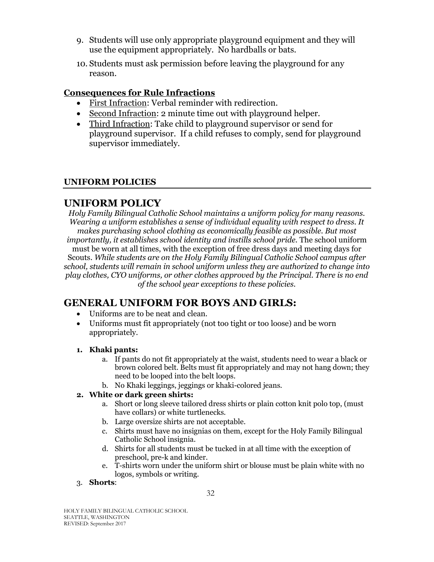- 9. Students will use only appropriate playground equipment and they will use the equipment appropriately. No hardballs or bats.
- 10. Students must ask permission before leaving the playground for any reason.

### **Consequences for Rule Infractions**

- First Infraction: Verbal reminder with redirection.
- Second Infraction: 2 minute time out with playground helper.
- Third Infraction: Take child to playground supervisor or send for playground supervisor. If a child refuses to comply, send for playground supervisor immediately.

### <span id="page-31-0"></span>**UNIFORM POLICIES**

# **UNIFORM POLICY**

*Holy Family Bilingual Catholic School maintains a uniform policy for many reasons. Wearing a uniform establishes a sense of individual equality with respect to dress. It makes purchasing school clothing as economically feasible as possible. But most importantly, it establishes school identity and instills school pride.* The school uniform must be worn at all times, with the exception of free dress days and meeting days for Scouts. *While students are on the Holy Family Bilingual Catholic School campus after school, students will remain in school uniform unless they are authorized to change into play clothes, CYO uniforms, or other clothes approved by the Principal. There is no end of the school year exceptions to these policies.*

# **GENERAL UNIFORM FOR BOYS AND GIRLS:**

- Uniforms are to be neat and clean.
- Uniforms must fit appropriately (not too tight or too loose) and be worn appropriately.

#### **1. Khaki pants:**

- a. If pants do not fit appropriately at the waist, students need to wear a black or brown colored belt. Belts must fit appropriately and may not hang down; they need to be looped into the belt loops.
- b. No Khaki leggings, jeggings or khaki-colored jeans.

#### **2. White or dark green shirts:**

- a. Short or long sleeve tailored dress shirts or plain cotton knit polo top, (must have collars) or white turtlenecks.
- b. Large oversize shirts are not acceptable.
- c. Shirts must have no insignias on them, except for the Holy Family Bilingual Catholic School insignia.
- d. Shirts for all students must be tucked in at all time with the exception of preschool, pre-k and kinder.
- e. T-shirts worn under the uniform shirt or blouse must be plain white with no logos, symbols or writing.

#### 3. **Shorts**:

HOLY FAMILY BILINGUAL CATHOLIC SCHOOL SEATTLE, WASHINGTON REVISED: September 2017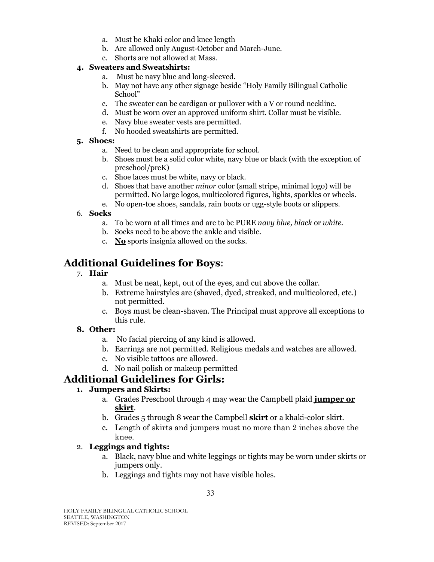- a. Must be Khaki color and knee length
- b. Are allowed only August-October and March-June.
- c. Shorts are not allowed at Mass.

#### **4. Sweaters and Sweatshirts:**

- a. Must be navy blue and long-sleeved.
- b. May not have any other signage beside "Holy Family Bilingual Catholic School"
- c. The sweater can be cardigan or pullover with a V or round neckline.
- d. Must be worn over an approved uniform shirt. Collar must be visible.
- e. Navy blue sweater vests are permitted.
- f. No hooded sweatshirts are permitted.

#### **5. Shoes:**

- a. Need to be clean and appropriate for school.
- b. Shoes must be a solid color white, navy blue or black (with the exception of preschool/preK)
- c. Shoe laces must be white, navy or black.
- d. Shoes that have another *minor* color (small stripe, minimal logo) will be permitted. No large logos, multicolored figures, lights, sparkles or wheels.
- e. No open-toe shoes, sandals, rain boots or ugg-style boots or slippers.

#### 6. **Socks**

- a. To be worn at all times and are to be PURE *navy blue, black* or *white*.
- b. Socks need to be above the ankle and visible.
- c. **No** sports insignia allowed on the socks.

# **Additional Guidelines for Boys**:

#### 7. **Hair**

- a. Must be neat, kept, out of the eyes, and cut above the collar.
- b. Extreme hairstyles are (shaved, dyed, streaked, and multicolored, etc.) not permitted.
- c. Boys must be clean-shaven. The Principal must approve all exceptions to this rule.

#### **8. Other:**

- a. No facial piercing of any kind is allowed.
- b. Earrings are not permitted. Religious medals and watches are allowed.
- c. No visible tattoos are allowed.
- d. No nail polish or makeup permitted

# **Additional Guidelines for Girls:**

#### **1. Jumpers and Skirts:**

- a. Grades Preschool through 4 may wear the Campbell plaid **jumper or skirt**.
- b. Grades 5 through 8 wear the Campbell **skirt** or a khaki-color skirt.
- c. Length of skirts and jumpers must no more than 2 inches above the knee.

#### 2. **Leggings and tights:**

- a. Black, navy blue and white leggings or tights may be worn under skirts or jumpers only.
- b. Leggings and tights may not have visible holes.

HOLY FAMILY BILINGUAL CATHOLIC SCHOOL SEATTLE, WASHINGTON REVISED: September 2017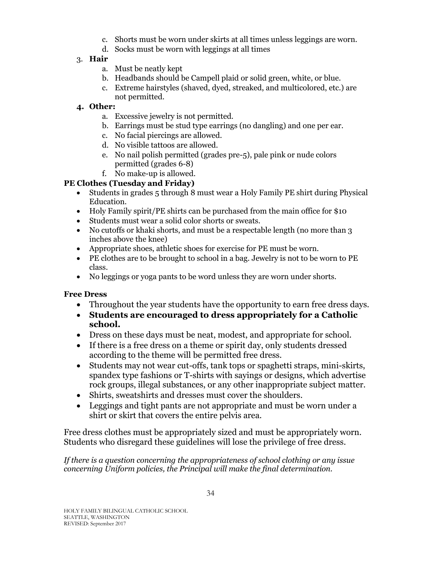- c. Shorts must be worn under skirts at all times unless leggings are worn.
- d. Socks must be worn with leggings at all times

### 3. **Hair**

- a. Must be neatly kept
- b. Headbands should be Campell plaid or solid green, white, or blue.
- c. Extreme hairstyles (shaved, dyed, streaked, and multicolored, etc.) are not permitted.

### **4. Other:**

- a. Excessive jewelry is not permitted.
- b. Earrings must be stud type earrings (no dangling) and one per ear.
- c. No facial piercings are allowed.
- d. No visible tattoos are allowed.
- e. No nail polish permitted (grades pre-5), pale pink or nude colors permitted (grades 6-8)
- f. No make-up is allowed.

### **PE Clothes (Tuesday and Friday)**

- Students in grades 5 through 8 must wear a Holy Family PE shirt during Physical Education.
- Holy Family spirit/PE shirts can be purchased from the main office for \$10
- Students must wear a solid color shorts or sweats.
- No cutoffs or khaki shorts, and must be a respectable length (no more than 3 inches above the knee)
- Appropriate shoes, athletic shoes for exercise for PE must be worn.
- PE clothes are to be brought to school in a bag. Jewelry is not to be worn to PE class.
- No leggings or yoga pants to be word unless they are worn under shorts.

#### **Free Dress**

- Throughout the year students have the opportunity to earn free dress days.
- **Students are encouraged to dress appropriately for a Catholic school.**
- Dress on these days must be neat, modest, and appropriate for school.
- If there is a free dress on a theme or spirit day, only students dressed according to the theme will be permitted free dress.
- Students may not wear cut-offs, tank tops or spaghetti straps, mini-skirts, spandex type fashions or T-shirts with sayings or designs, which advertise rock groups, illegal substances, or any other inappropriate subject matter.
- Shirts, sweatshirts and dresses must cover the shoulders.
- Leggings and tight pants are not appropriate and must be worn under a shirt or skirt that covers the entire pelvis area.

Free dress clothes must be appropriately sized and must be appropriately worn. Students who disregard these guidelines will lose the privilege of free dress.

*If there is a question concerning the appropriateness of school clothing or any issue concerning Uniform policies, the Principal will make the final determination.*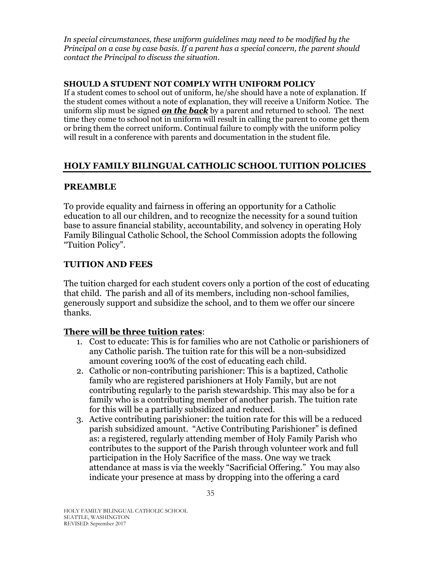*In special circumstances, these uniform guidelines may need to be modified by the Principal on a case by case basis. If a parent has a special concern, the parent should contact the Principal to discuss the situation.* 

#### **SHOULD A STUDENT NOT COMPLY WITH UNIFORM POLICY**

If a student comes to school out of uniform, he/she should have a note of explanation. If the student comes without a note of explanation, they will receive a Uniform Notice. The uniform slip must be signed *on the back* by a parent and returned to school. The next time they come to school not in uniform will result in calling the parent to come get them or bring them the correct uniform. Continual failure to comply with the uniform policy will result in a conference with parents and documentation in the student file.

### <span id="page-34-0"></span>**HOLY FAMILY BILINGUAL CATHOLIC SCHOOL TUITION POLICIES**

### <span id="page-34-1"></span>**PREAMBLE**

To provide equality and fairness in offering an opportunity for a Catholic education to all our children, and to recognize the necessity for a sound tuition base to assure financial stability, accountability, and solvency in operating Holy Family Bilingual Catholic School, the School Commission adopts the following "Tuition Policy".

### <span id="page-34-2"></span>**TUITION AND FEES**

The tuition charged for each student covers only a portion of the cost of educating that child. The parish and all of its members, including non-school families, generously support and subsidize the school, and to them we offer our sincere thanks.

### **There will be three tuition rates**:

- 1. Cost to educate: This is for families who are not Catholic or parishioners of any Catholic parish. The tuition rate for this will be a non-subsidized amount covering 100% of the cost of educating each child.
- 2. Catholic or non-contributing parishioner: This is a baptized, Catholic family who are registered parishioners at Holy Family, but are not contributing regularly to the parish stewardship. This may also be for a family who is a contributing member of another parish. The tuition rate for this will be a partially subsidized and reduced.
- 3. Active contributing parishioner: the tuition rate for this will be a reduced parish subsidized amount. "Active Contributing Parishioner" is defined as: a registered, regularly attending member of Holy Family Parish who contributes to the support of the Parish through volunteer work and full participation in the Holy Sacrifice of the mass. One way we track attendance at mass is via the weekly "Sacrificial Offering." You may also indicate your presence at mass by dropping into the offering a card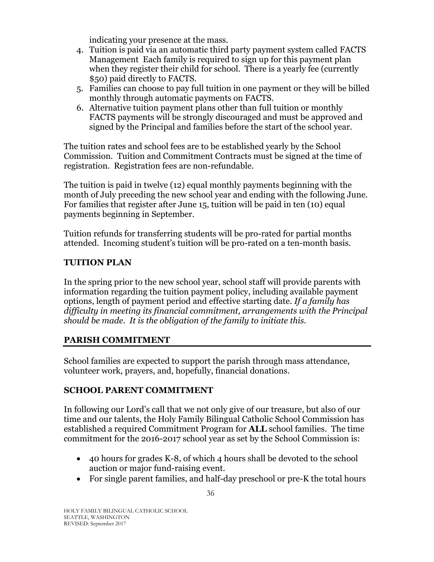indicating your presence at the mass.

- 4. Tuition is paid via an automatic third party payment system called FACTS Management Each family is required to sign up for this payment plan when they register their child for school. There is a yearly fee (currently \$50) paid directly to FACTS.
- 5. Families can choose to pay full tuition in one payment or they will be billed monthly through automatic payments on FACTS.
- 6. Alternative tuition payment plans other than full tuition or monthly FACTS payments will be strongly discouraged and must be approved and signed by the Principal and families before the start of the school year.

The tuition rates and school fees are to be established yearly by the School Commission. Tuition and Commitment Contracts must be signed at the time of registration. Registration fees are non-refundable.

The tuition is paid in twelve (12) equal monthly payments beginning with the month of July preceding the new school year and ending with the following June. For families that register after June 15, tuition will be paid in ten (10) equal payments beginning in September.

Tuition refunds for transferring students will be pro-rated for partial months attended. Incoming student's tuition will be pro-rated on a ten-month basis.

### <span id="page-35-0"></span>**TUITION PLAN**

In the spring prior to the new school year, school staff will provide parents with information regarding the tuition payment policy, including available payment options, length of payment period and effective starting date. *If a family has difficulty in meeting its financial commitment, arrangements with the Principal should be made. It is the obligation of the family to initiate this.*

### <span id="page-35-1"></span>**PARISH COMMITMENT**

School families are expected to support the parish through mass attendance, volunteer work, prayers, and, hopefully, financial donations.

### <span id="page-35-2"></span>**SCHOOL PARENT COMMITMENT**

In following our Lord's call that we not only give of our treasure, but also of our time and our talents, the Holy Family Bilingual Catholic School Commission has established a required Commitment Program for **ALL** school families. The time commitment for the 2016-2017 school year as set by the School Commission is:

- 40 hours for grades K-8, of which 4 hours shall be devoted to the school auction or major fund-raising event.
- For single parent families, and half-day preschool or pre-K the total hours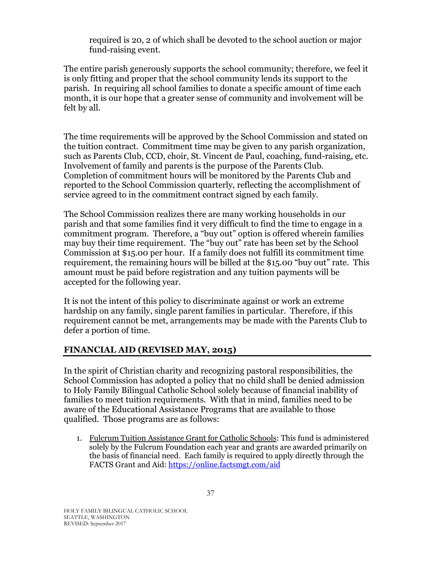required is 20, 2 of which shall be devoted to the school auction or major fund-raising event.

The entire parish generously supports the school community; therefore, we feel it is only fitting and proper that the school community lends its support to the parish. In requiring all school families to donate a specific amount of time each month, it is our hope that a greater sense of community and involvement will be felt by all.

The time requirements will be approved by the School Commission and stated on the tuition contract. Commitment time may be given to any parish organization, such as Parents Club, CCD, choir, St. Vincent de Paul, coaching, fund-raising, etc. Involvement of family and parents is the purpose of the Parents Club. Completion of commitment hours will be monitored by the Parents Club and reported to the School Commission quarterly, reflecting the accomplishment of service agreed to in the commitment contract signed by each family.

The School Commission realizes there are many working households in our parish and that some families find it very difficult to find the time to engage in a commitment program. Therefore, a "buy out" option is offered wherein families may buy their time requirement. The "buy out" rate has been set by the School Commission at \$15.00 per hour. If a family does not fulfill its commitment time requirement, the remaining hours will be billed at the \$15.00 "buy out" rate. This amount must be paid before registration and any tuition payments will be accepted for the following year.

It is not the intent of this policy to discriminate against or work an extreme hardship on any family, single parent families in particular. Therefore, if this requirement cannot be met, arrangements may be made with the Parents Club to defer a portion of time.

# <span id="page-36-0"></span>**FINANCIAL AID (REVISED MAY, 2015)**

In the spirit of Christian charity and recognizing pastoral responsibilities, the School Commission has adopted a policy that no child shall be denied admission to Holy Family Bilingual Catholic School solely because of financial inability of families to meet tuition requirements. With that in mind, families need to be aware of the Educational Assistance Programs that are available to those qualified. Those programs are as follows:

1. Fulcrum Tuition Assistance Grant for Catholic Schools: This fund is administered solely by the Fulcrum Foundation each year and grants are awarded primarily on the basis of financial need. Each family is required to apply directly through the FACTS Grant and Aid[: https://online.factsmgt.com/aid](https://online.factsmgt.com/aid)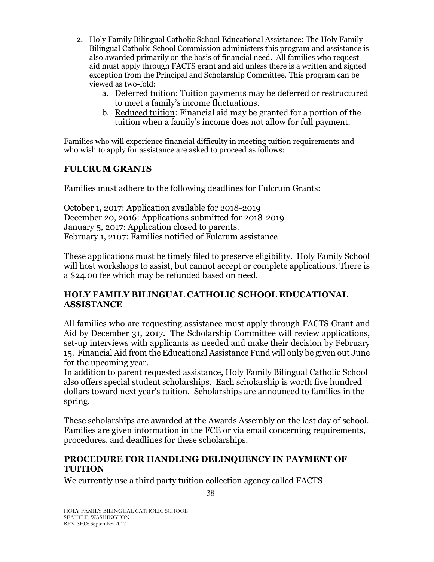- 2. Holy Family Bilingual Catholic School Educational Assistance: The Holy Family Bilingual Catholic School Commission administers this program and assistance is also awarded primarily on the basis of financial need. All families who request aid must apply through FACTS grant and aid unless there is a written and signed exception from the Principal and Scholarship Committee. This program can be viewed as two-fold:
	- a. Deferred tuition: Tuition payments may be deferred or restructured to meet a family's income fluctuations.
	- b. Reduced tuition: Financial aid may be granted for a portion of the tuition when a family's income does not allow for full payment.

Families who will experience financial difficulty in meeting tuition requirements and who wish to apply for assistance are asked to proceed as follows:

### **FULCRUM GRANTS**

Families must adhere to the following deadlines for Fulcrum Grants:

October 1, 2017: Application available for 2018-2019 December 20, 2016: Applications submitted for 2018-2019 January 5, 2017: Application closed to parents. February 1, 2107: Families notified of Fulcrum assistance

These applications must be timely filed to preserve eligibility. Holy Family School will host workshops to assist, but cannot accept or complete applications. There is a \$24.00 fee which may be refunded based on need.

### **HOLY FAMILY BILINGUAL CATHOLIC SCHOOL EDUCATIONAL ASSISTANCE**

All families who are requesting assistance must apply through FACTS Grant and Aid by December 31, 2017. The Scholarship Committee will review applications, set-up interviews with applicants as needed and make their decision by February 15. Financial Aid from the Educational Assistance Fund will only be given out June for the upcoming year.

In addition to parent requested assistance, Holy Family Bilingual Catholic School also offers special student scholarships. Each scholarship is worth five hundred dollars toward next year's tuition. Scholarships are announced to families in the spring.

These scholarships are awarded at the Awards Assembly on the last day of school. Families are given information in the FCE or via email concerning requirements, procedures, and deadlines for these scholarships.

### <span id="page-37-0"></span>**PROCEDURE FOR HANDLING DELINQUENCY IN PAYMENT OF TUITION**

We currently use a third party tuition collection agency called FACTS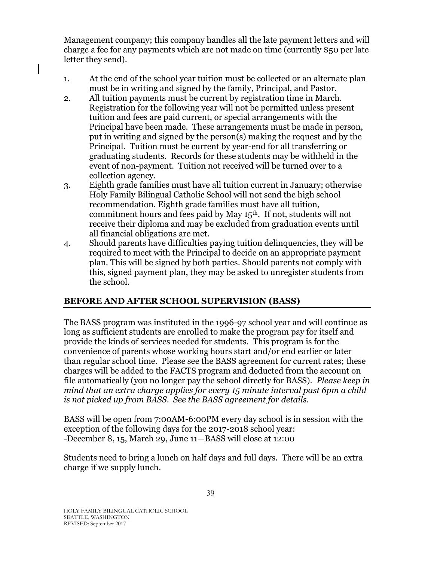Management company; this company handles all the late payment letters and will charge a fee for any payments which are not made on time (currently \$50 per late letter they send).

- 1. At the end of the school year tuition must be collected or an alternate plan must be in writing and signed by the family, Principal, and Pastor.
- 2. All tuition payments must be current by registration time in March. Registration for the following year will not be permitted unless present tuition and fees are paid current, or special arrangements with the Principal have been made. These arrangements must be made in person, put in writing and signed by the person(s) making the request and by the Principal. Tuition must be current by year-end for all transferring or graduating students. Records for these students may be withheld in the event of non-payment. Tuition not received will be turned over to a collection agency.
- 3. Eighth grade families must have all tuition current in January; otherwise Holy Family Bilingual Catholic School will not send the high school recommendation. Eighth grade families must have all tuition, commitment hours and fees paid by May  $15<sup>th</sup>$ . If not, students will not receive their diploma and may be excluded from graduation events until all financial obligations are met.
- 4. Should parents have difficulties paying tuition delinquencies, they will be required to meet with the Principal to decide on an appropriate payment plan. This will be signed by both parties. Should parents not comply with this, signed payment plan, they may be asked to unregister students from the school.

### <span id="page-38-0"></span>**BEFORE AND AFTER SCHOOL SUPERVISION (BASS)**

The BASS program was instituted in the 1996-97 school year and will continue as long as sufficient students are enrolled to make the program pay for itself and provide the kinds of services needed for students. This program is for the convenience of parents whose working hours start and/or end earlier or later than regular school time. Please see the BASS agreement for current rates; these charges will be added to the FACTS program and deducted from the account on file automatically (you no longer pay the school directly for BASS). *Please keep in mind that an extra charge applies for every 15 minute interval past 6pm a child is not picked up from BASS. See the BASS agreement for details.* 

BASS will be open from 7:00AM-6:00PM every day school is in session with the exception of the following days for the 2017-2018 school year: -December 8, 15, March 29, June 11—BASS will close at 12:00

Students need to bring a lunch on half days and full days. There will be an extra charge if we supply lunch.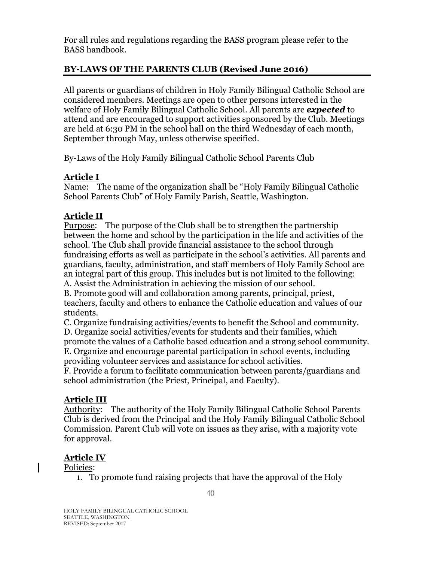For all rules and regulations regarding the BASS program please refer to the BASS handbook.

### **BY-LAWS OF THE PARENTS CLUB (Revised June 2016)**

All parents or guardians of children in Holy Family Bilingual Catholic School are considered members. Meetings are open to other persons interested in the welfare of Holy Family Bilingual Catholic School. All parents are *expected* to attend and are encouraged to support activities sponsored by the Club. Meetings are held at 6:30 PM in the school hall on the third Wednesday of each month, September through May, unless otherwise specified.

By-Laws of the Holy Family Bilingual Catholic School Parents Club

### **Article I**

Name: The name of the organization shall be "Holy Family Bilingual Catholic School Parents Club" of Holy Family Parish, Seattle, Washington.

### **Article II**

Purpose: The purpose of the Club shall be to strengthen the partnership between the home and school by the participation in the life and activities of the school. The Club shall provide financial assistance to the school through fundraising efforts as well as participate in the school's activities. All parents and guardians, faculty, administration, and staff members of Holy Family School are an integral part of this group. This includes but is not limited to the following: A. Assist the Administration in achieving the mission of our school.

B. Promote good will and collaboration among parents, principal, priest, teachers, faculty and others to enhance the Catholic education and values of our students.

C. Organize fundraising activities/events to benefit the School and community.

D. Organize social activities/events for students and their families, which promote the values of a Catholic based education and a strong school community. E. Organize and encourage parental participation in school events, including providing volunteer services and assistance for school activities.

F. Provide a forum to facilitate communication between parents/guardians and school administration (the Priest, Principal, and Faculty).

#### **Article III**

Authority: The authority of the Holy Family Bilingual Catholic School Parents Club is derived from the Principal and the Holy Family Bilingual Catholic School Commission. Parent Club will vote on issues as they arise, with a majority vote for approval.

### **Article IV**

Policies:

1. To promote fund raising projects that have the approval of the Holy

40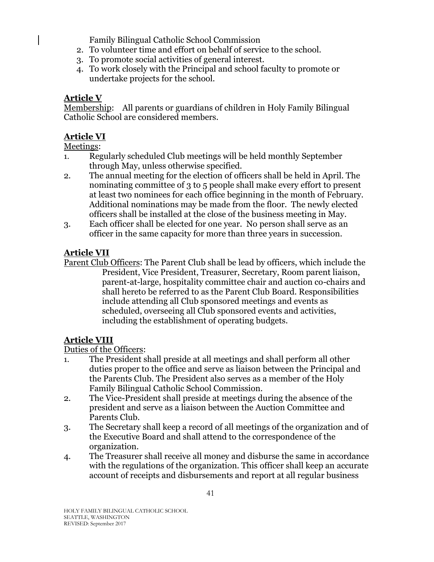Family Bilingual Catholic School Commission

- 2. To volunteer time and effort on behalf of service to the school.
- 3. To promote social activities of general interest.
- 4. To work closely with the Principal and school faculty to promote or undertake projects for the school.

# **Article V**

Membership: All parents or guardians of children in Holy Family Bilingual Catholic School are considered members.

# **Article VI**

### Meetings:

- 1. Regularly scheduled Club meetings will be held monthly September through May, unless otherwise specified.
- 2. The annual meeting for the election of officers shall be held in April. The nominating committee of 3 to 5 people shall make every effort to present at least two nominees for each office beginning in the month of February. Additional nominations may be made from the floor. The newly elected officers shall be installed at the close of the business meeting in May.
- 3. Each officer shall be elected for one year. No person shall serve as an officer in the same capacity for more than three years in succession.

# **Article VII**

Parent Club Officers: The Parent Club shall be lead by officers, which include the President, Vice President, Treasurer, Secretary, Room parent liaison, parent-at-large, hospitality committee chair and auction co-chairs and shall hereto be referred to as the Parent Club Board. Responsibilities include attending all Club sponsored meetings and events as scheduled, overseeing all Club sponsored events and activities, including the establishment of operating budgets.

# **Article VIII**

Duties of the Officers:

- 1. The President shall preside at all meetings and shall perform all other duties proper to the office and serve as liaison between the Principal and the Parents Club. The President also serves as a member of the Holy Family Bilingual Catholic School Commission.
- 2. The Vice-President shall preside at meetings during the absence of the president and serve as a liaison between the Auction Committee and Parents Club.
- 3. The Secretary shall keep a record of all meetings of the organization and of the Executive Board and shall attend to the correspondence of the organization.
- 4. The Treasurer shall receive all money and disburse the same in accordance with the regulations of the organization. This officer shall keep an accurate account of receipts and disbursements and report at all regular business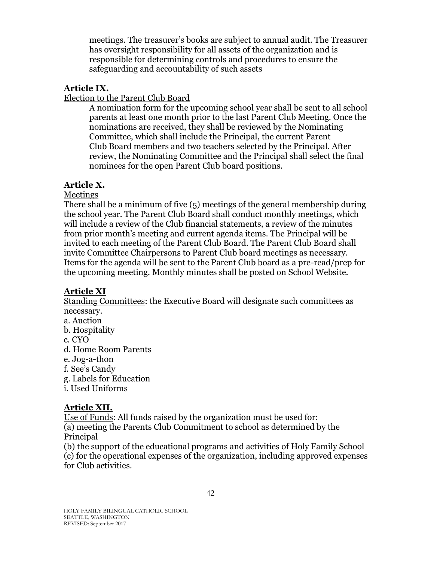meetings. The treasurer's books are subject to annual audit. The Treasurer has oversight responsibility for all assets of the organization and is responsible for determining controls and procedures to ensure the safeguarding and accountability of such assets

#### **Article IX.**

Election to the Parent Club Board

A nomination form for the upcoming school year shall be sent to all school parents at least one month prior to the last Parent Club Meeting. Once the nominations are received, they shall be reviewed by the Nominating Committee, which shall include the Principal, the current Parent Club Board members and two teachers selected by the Principal. After review, the Nominating Committee and the Principal shall select the final nominees for the open Parent Club board positions.

### **Article X.**

Meetings

There shall be a minimum of five (5) meetings of the general membership during the school year. The Parent Club Board shall conduct monthly meetings, which will include a review of the Club financial statements, a review of the minutes from prior month's meeting and current agenda items. The Principal will be invited to each meeting of the Parent Club Board. The Parent Club Board shall invite Committee Chairpersons to Parent Club board meetings as necessary. Items for the agenda will be sent to the Parent Club board as a pre-read/prep for the upcoming meeting. Monthly minutes shall be posted on School Website.

# **Article XI**

Standing Committees: the Executive Board will designate such committees as necessary.

- a. Auction
- b. Hospitality
- c. CYO
- d. Home Room Parents
- e. Jog-a-thon
- f. See's Candy
- g. Labels for Education
- i. Used Uniforms

### **Article XII.**

Use of Funds: All funds raised by the organization must be used for: (a) meeting the Parents Club Commitment to school as determined by the Principal

(b) the support of the educational programs and activities of Holy Family School (c) for the operational expenses of the organization, including approved expenses for Club activities.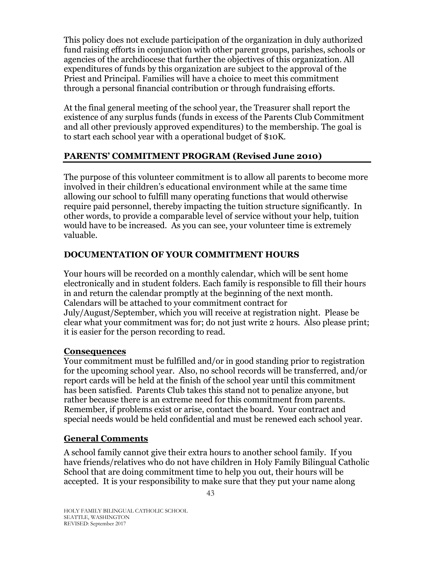This policy does not exclude participation of the organization in duly authorized fund raising efforts in conjunction with other parent groups, parishes, schools or agencies of the archdiocese that further the objectives of this organization. All expenditures of funds by this organization are subject to the approval of the Priest and Principal. Families will have a choice to meet this commitment through a personal financial contribution or through fundraising efforts.

At the final general meeting of the school year, the Treasurer shall report the existence of any surplus funds (funds in excess of the Parents Club Commitment and all other previously approved expenditures) to the membership. The goal is to start each school year with a operational budget of \$10K.

### **PARENTS' COMMITMENT PROGRAM (Revised June 2010)**

The purpose of this volunteer commitment is to allow all parents to become more involved in their children's educational environment while at the same time allowing our school to fulfill many operating functions that would otherwise require paid personnel, thereby impacting the tuition structure significantly. In other words, to provide a comparable level of service without your help, tuition would have to be increased. As you can see, your volunteer time is extremely valuable.

### **DOCUMENTATION OF YOUR COMMITMENT HOURS**

Your hours will be recorded on a monthly calendar, which will be sent home electronically and in student folders. Each family is responsible to fill their hours in and return the calendar promptly at the beginning of the next month. Calendars will be attached to your commitment contract for July/August/September, which you will receive at registration night. Please be clear what your commitment was for; do not just write 2 hours. Also please print; it is easier for the person recording to read.

### **Consequences**

Your commitment must be fulfilled and/or in good standing prior to registration for the upcoming school year. Also, no school records will be transferred, and/or report cards will be held at the finish of the school year until this commitment has been satisfied. Parents Club takes this stand not to penalize anyone, but rather because there is an extreme need for this commitment from parents. Remember, if problems exist or arise, contact the board. Your contract and special needs would be held confidential and must be renewed each school year.

### **General Comments**

A school family cannot give their extra hours to another school family. If you have friends/relatives who do not have children in Holy Family Bilingual Catholic School that are doing commitment time to help you out, their hours will be accepted. It is your responsibility to make sure that they put your name along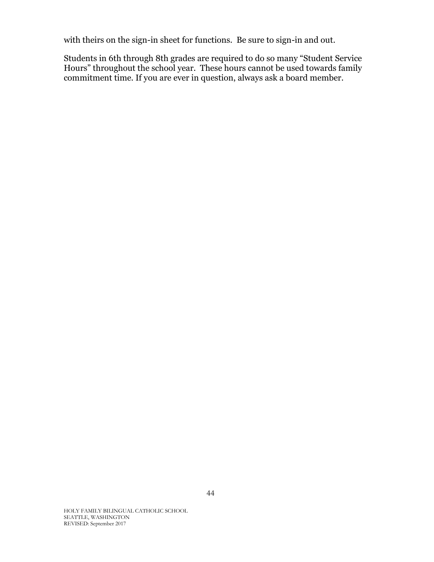with theirs on the sign-in sheet for functions. Be sure to sign-in and out.

<span id="page-43-0"></span>Students in 6th through 8th grades are required to do so many "Student Service Hours" throughout the school year. These hours cannot be used towards family commitment time. If you are ever in question, always ask a board member.

HOLY FAMILY BILINGUAL CATHOLIC SCHOOL SEATTLE, WASHINGTON REVISED: September 2017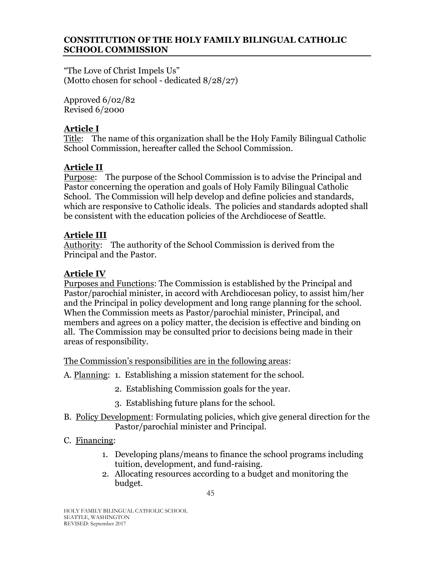#### **CONSTITUTION OF THE HOLY FAMILY BILINGUAL CATHOLIC SCHOOL COMMISSION**

"The Love of Christ Impels Us" (Motto chosen for school - dedicated 8/28/27)

Approved 6/02/82 Revised 6/2000

### **Article I**

Title: The name of this organization shall be the Holy Family Bilingual Catholic School Commission, hereafter called the School Commission.

# **Article II**

Purpose: The purpose of the School Commission is to advise the Principal and Pastor concerning the operation and goals of Holy Family Bilingual Catholic School. The Commission will help develop and define policies and standards, which are responsive to Catholic ideals. The policies and standards adopted shall be consistent with the education policies of the Archdiocese of Seattle.

### **Article III**

Authority: The authority of the School Commission is derived from the Principal and the Pastor.

# **Article IV**

Purposes and Functions: The Commission is established by the Principal and Pastor/parochial minister, in accord with Archdiocesan policy, to assist him/her and the Principal in policy development and long range planning for the school. When the Commission meets as Pastor/parochial minister, Principal, and members and agrees on a policy matter, the decision is effective and binding on all. The Commission may be consulted prior to decisions being made in their areas of responsibility.

The Commission's responsibilities are in the following areas:

- A. Planning: 1. Establishing a mission statement for the school.
	- 2. Establishing Commission goals for the year.
	- 3. Establishing future plans for the school.
- B. Policy Development: Formulating policies, which give general direction for the Pastor/parochial minister and Principal.

### C. Financing:

- 1. Developing plans/means to finance the school programs including tuition, development, and fund-raising.
- 2. Allocating resources according to a budget and monitoring the budget.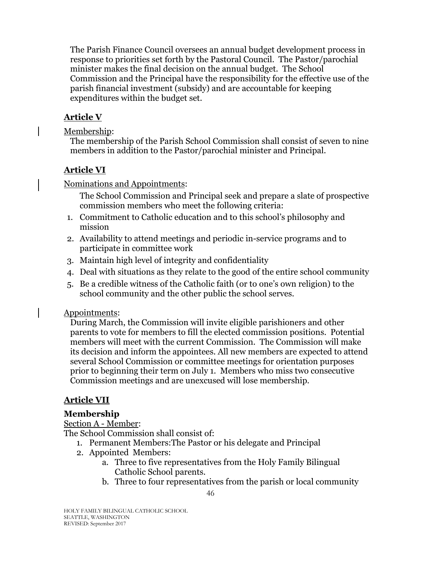The Parish Finance Council oversees an annual budget development process in response to priorities set forth by the Pastoral Council. The Pastor/parochial minister makes the final decision on the annual budget. The School Commission and the Principal have the responsibility for the effective use of the parish financial investment (subsidy) and are accountable for keeping expenditures within the budget set.

# **Article V**

Membership:

The membership of the Parish School Commission shall consist of seven to nine members in addition to the Pastor/parochial minister and Principal.

# **Article VI**

Nominations and Appointments:

The School Commission and Principal seek and prepare a slate of prospective commission members who meet the following criteria:

- 1. Commitment to Catholic education and to this school's philosophy and mission
- 2. Availability to attend meetings and periodic in-service programs and to participate in committee work
- 3. Maintain high level of integrity and confidentiality
- 4. Deal with situations as they relate to the good of the entire school community
- 5. Be a credible witness of the Catholic faith (or to one's own religion) to the school community and the other public the school serves.

### Appointments:

During March, the Commission will invite eligible parishioners and other parents to vote for members to fill the elected commission positions. Potential members will meet with the current Commission. The Commission will make its decision and inform the appointees. All new members are expected to attend several School Commission or committee meetings for orientation purposes prior to beginning their term on July 1. Members who miss two consecutive Commission meetings and are unexcused will lose membership.

# **Article VII**

# **Membership**

### Section A - Member:

The School Commission shall consist of:

- 1. Permanent Members:The Pastor or his delegate and Principal
- 2. Appointed Members:
	- a. Three to five representatives from the Holy Family Bilingual Catholic School parents.
	- b. Three to four representatives from the parish or local community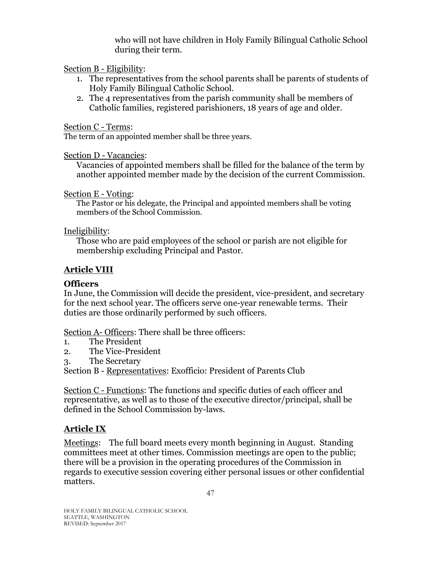who will not have children in Holy Family Bilingual Catholic School during their term.

### Section B - Eligibility:

- 1. The representatives from the school parents shall be parents of students of Holy Family Bilingual Catholic School.
- 2. The 4 representatives from the parish community shall be members of Catholic families, registered parishioners, 18 years of age and older.

### Section C - Terms:

The term of an appointed member shall be three years.

### Section D - Vacancies:

Vacancies of appointed members shall be filled for the balance of the term by another appointed member made by the decision of the current Commission.

Section E - Voting:

The Pastor or his delegate, the Principal and appointed members shall be voting members of the School Commission.

### Ineligibility:

Those who are paid employees of the school or parish are not eligible for membership excluding Principal and Pastor.

# **Article VIII**

# **Officers**

In June, the Commission will decide the president, vice-president, and secretary for the next school year. The officers serve one-year renewable terms. Their duties are those ordinarily performed by such officers.

Section A- Officers: There shall be three officers:

- 1. The President
- 2. The Vice-President
- 3. The Secretary

Section B - Representatives: Exofficio: President of Parents Club

Section C - Functions: The functions and specific duties of each officer and representative, as well as to those of the executive director/principal, shall be defined in the School Commission by-laws.

# **Article IX**

Meetings: The full board meets every month beginning in August. Standing committees meet at other times. Commission meetings are open to the public; there will be a provision in the operating procedures of the Commission in regards to executive session covering either personal issues or other confidential matters.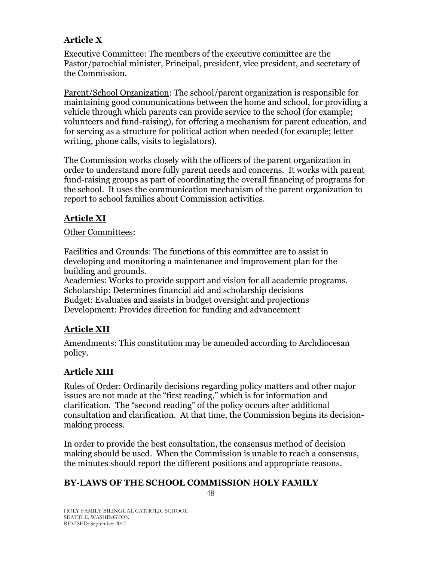# **Article X**

Executive Committee: The members of the executive committee are the Pastor/parochial minister, Principal, president, vice president, and secretary of the Commission.

Parent/School Organization: The school/parent organization is responsible for maintaining good communications between the home and school, for providing a vehicle through which parents can provide service to the school (for example; volunteers and fund-raising), for offering a mechanism for parent education, and for serving as a structure for political action when needed (for example; letter writing, phone calls, visits to legislators).

The Commission works closely with the officers of the parent organization in order to understand more fully parent needs and concerns. It works with parent fund-raising groups as part of coordinating the overall financing of programs for the school. It uses the communication mechanism of the parent organization to report to school families about Commission activities.

# **Article XI**

### Other Committees:

Facilities and Grounds: The functions of this committee are to assist in developing and monitoring a maintenance and improvement plan for the building and grounds.

Academics: Works to provide support and vision for all academic programs. Scholarship: Determines financial aid and scholarship decisions Budget: Evaluates and assists in budget oversight and projections Development: Provides direction for funding and advancement

# **Article XII**

Amendments: This constitution may be amended according to Archdiocesan policy.

# **Article XIII**

Rules of Order: Ordinarily decisions regarding policy matters and other major issues are not made at the "first reading," which is for information and clarification. The "second reading" of the policy occurs after additional consultation and clarification. At that time, the Commission begins its decisionmaking process.

In order to provide the best consultation, the consensus method of decision making should be used. When the Commission is unable to reach a consensus, the minutes should report the different positions and appropriate reasons.

# <span id="page-47-0"></span>**BY-LAWS OF THE SCHOOL COMMISSION HOLY FAMILY**

48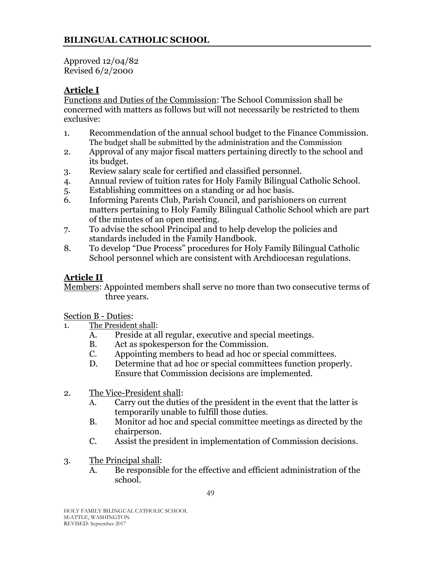Approved 12/04/82 Revised 6/2/2000

# **Article I**

Functions and Duties of the Commission: The School Commission shall be concerned with matters as follows but will not necessarily be restricted to them exclusive:

- 1. Recommendation of the annual school budget to the Finance Commission. The budget shall be submitted by the administration and the Commission
- 2. Approval of any major fiscal matters pertaining directly to the school and its budget.
- 3. Review salary scale for certified and classified personnel.
- 4. Annual review of tuition rates for Holy Family Bilingual Catholic School.
- 5. Establishing committees on a standing or ad hoc basis.
- 6. Informing Parents Club, Parish Council, and parishioners on current matters pertaining to Holy Family Bilingual Catholic School which are part of the minutes of an open meeting.
- 7. To advise the school Principal and to help develop the policies and standards included in the Family Handbook.
- 8. To develop "Due Process" procedures for Holy Family Bilingual Catholic School personnel which are consistent with Archdiocesan regulations.

# **Article II**

Members: Appointed members shall serve no more than two consecutive terms of three years.

Section B - Duties:

- 1. The President shall:
	- A. Preside at all regular, executive and special meetings.
	- B. Act as spokesperson for the Commission.
	- C. Appointing members to head ad hoc or special committees.
	- D. Determine that ad hoc or special committees function properly. Ensure that Commission decisions are implemented.
- 2. The Vice-President shall:
	- A. Carry out the duties of the president in the event that the latter is temporarily unable to fulfill those duties.
	- B. Monitor ad hoc and special committee meetings as directed by the chairperson.
	- C. Assist the president in implementation of Commission decisions.
- 3. The Principal shall:
	- A. Be responsible for the effective and efficient administration of the school.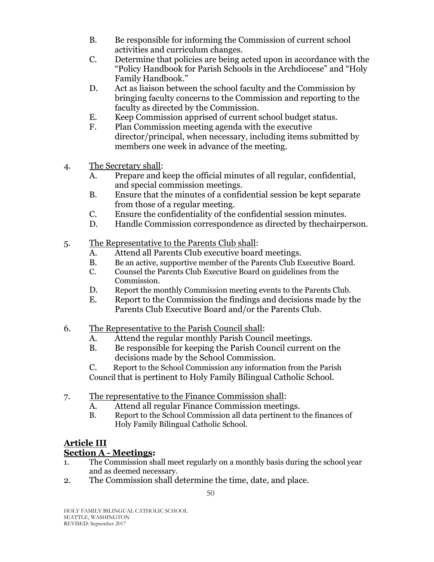- B. Be responsible for informing the Commission of current school activities and curriculum changes.
- C. Determine that policies are being acted upon in accordance with the "Policy Handbook for Parish Schools in the Archdiocese" and "Holy Family Handbook."
- D. Act as liaison between the school faculty and the Commission by bringing faculty concerns to the Commission and reporting to the faculty as directed by the Commission.
- E. Keep Commission apprised of current school budget status.
- F. Plan Commission meeting agenda with the executive director/principal, when necessary, including items submitted by members one week in advance of the meeting.
- 4. The Secretary shall:
	- A. Prepare and keep the official minutes of all regular, confidential, and special commission meetings.
	- B. Ensure that the minutes of a confidential session be kept separate from those of a regular meeting.
	- C. Ensure the confidentiality of the confidential session minutes.
	- D. Handle Commission correspondence as directed by thechairperson.
- 5. The Representative to the Parents Club shall:
	- A. Attend all Parents Club executive board meetings.
	- B. Be an active, supportive member of the Parents Club Executive Board.
	- C. Counsel the Parents Club Executive Board on guidelines from the Commission.
	- D. Report the monthly Commission meeting events to the Parents Club.
	- E. Report to the Commission the findings and decisions made by the Parents Club Executive Board and/or the Parents Club.
- 6. The Representative to the Parish Council shall:
	- A. Attend the regular monthly Parish Council meetings.
	- B. Be responsible for keeping the Parish Council current on the decisions made by the School Commission.

C. Report to the School Commission any information from the Parish Council that is pertinent to Holy Family Bilingual Catholic School.

- 7. The representative to the Finance Commission shall:
	- A. Attend all regular Finance Commission meetings.
	- B. Report to the School Commission all data pertinent to the finances of Holy Family Bilingual Catholic School.

# **Article III**

# **Section A - Meetings:**

- 1. The Commission shall meet regularly on a monthly basis during the school year and as deemed necessary.
- 2. The Commission shall determine the time, date, and place.

HOLY FAMILY BILINGUAL CATHOLIC SCHOOL SEATTLE, WASHINGTON REVISED: September 2017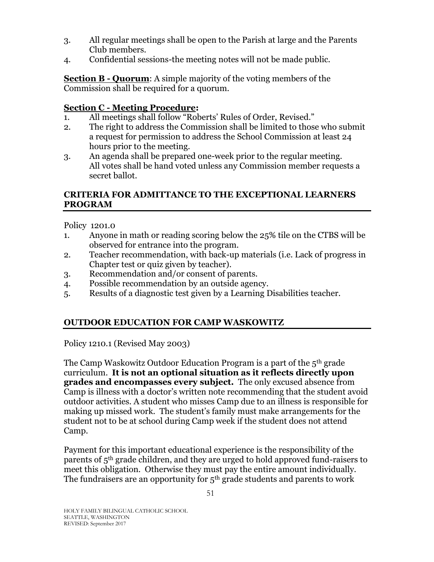- 3. All regular meetings shall be open to the Parish at large and the Parents Club members.
- 4. Confidential sessions-the meeting notes will not be made public.

**Section B - Quorum**: A simple majority of the voting members of the Commission shall be required for a quorum.

#### **Section C - Meeting Procedure:**

- 1. All meetings shall follow "Roberts' Rules of Order, Revised."
- 2. The right to address the Commission shall be limited to those who submit a request for permission to address the School Commission at least 24 hours prior to the meeting.
- 3. An agenda shall be prepared one-week prior to the regular meeting. All votes shall be hand voted unless any Commission member requests a secret ballot.

### <span id="page-50-0"></span>**CRITERIA FOR ADMITTANCE TO THE EXCEPTIONAL LEARNERS PROGRAM**

Policy 1201.0

- 1. Anyone in math or reading scoring below the 25% tile on the CTBS will be observed for entrance into the program.
- 2. Teacher recommendation, with back-up materials (i.e. Lack of progress in Chapter test or quiz given by teacher).
- 3. Recommendation and/or consent of parents.
- 4. Possible recommendation by an outside agency.
- 5. Results of a diagnostic test given by a Learning Disabilities teacher.

### <span id="page-50-1"></span>**OUTDOOR EDUCATION FOR CAMP WASKOWITZ**

Policy 1210.1 (Revised May 2003)

The Camp Waskowitz Outdoor Education Program is a part of the 5th grade curriculum. **It is not an optional situation as it reflects directly upon grades and encompasses every subject.** The only excused absence from Camp is illness with a doctor's written note recommending that the student avoid outdoor activities. A student who misses Camp due to an illness is responsible for making up missed work. The student's family must make arrangements for the student not to be at school during Camp week if the student does not attend Camp.

Payment for this important educational experience is the responsibility of the parents of 5th grade children, and they are urged to hold approved fund-raisers to meet this obligation. Otherwise they must pay the entire amount individually. The fundraisers are an opportunity for 5<sup>th</sup> grade students and parents to work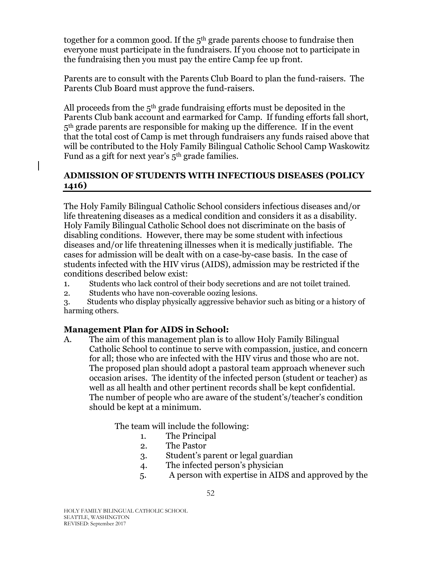together for a common good. If the 5<sup>th</sup> grade parents choose to fundraise then everyone must participate in the fundraisers. If you choose not to participate in the fundraising then you must pay the entire Camp fee up front.

Parents are to consult with the Parents Club Board to plan the fund-raisers. The Parents Club Board must approve the fund-raisers.

All proceeds from the  $5<sup>th</sup>$  grade fundraising efforts must be deposited in the Parents Club bank account and earmarked for Camp. If funding efforts fall short, 5<sup>th</sup> grade parents are responsible for making up the difference. If in the event that the total cost of Camp is met through fundraisers any funds raised above that will be contributed to the Holy Family Bilingual Catholic School Camp Waskowitz Fund as a gift for next year's 5th grade families.

### <span id="page-51-0"></span>**ADMISSION OF STUDENTS WITH INFECTIOUS DISEASES (POLICY 1416)**

The Holy Family Bilingual Catholic School considers infectious diseases and/or life threatening diseases as a medical condition and considers it as a disability. Holy Family Bilingual Catholic School does not discriminate on the basis of disabling conditions. However, there may be some student with infectious diseases and/or life threatening illnesses when it is medically justifiable. The cases for admission will be dealt with on a case-by-case basis. In the case of students infected with the HIV virus (AIDS), admission may be restricted if the conditions described below exist:

- 1. Students who lack control of their body secretions and are not toilet trained.
- 2. Students who have non-coverable oozing lesions.
- 3. Students who display physically aggressive behavior such as biting or a history of harming others.

# **Management Plan for AIDS in School:**

A. The aim of this management plan is to allow Holy Family Bilingual Catholic School to continue to serve with compassion, justice, and concern for all; those who are infected with the HIV virus and those who are not. The proposed plan should adopt a pastoral team approach whenever such occasion arises. The identity of the infected person (student or teacher) as well as all health and other pertinent records shall be kept confidential. The number of people who are aware of the student's/teacher's condition should be kept at a minimum.

The team will include the following:

- 1. The Principal
- 2. The Pastor
- 3. Student's parent or legal guardian
- 4. The infected person's physician
- 5. A person with expertise in AIDS and approved by the

HOLY FAMILY BILINGUAL CATHOLIC SCHOOL SEATTLE, WASHINGTON REVISED: September 2017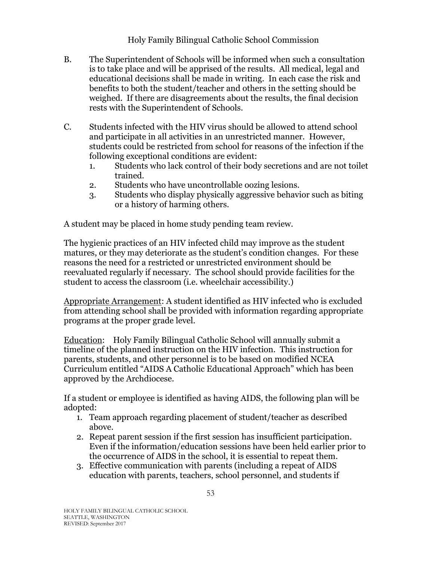### Holy Family Bilingual Catholic School Commission

- B. The Superintendent of Schools will be informed when such a consultation is to take place and will be apprised of the results. All medical, legal and educational decisions shall be made in writing. In each case the risk and benefits to both the student/teacher and others in the setting should be weighed. If there are disagreements about the results, the final decision rests with the Superintendent of Schools.
- C. Students infected with the HIV virus should be allowed to attend school and participate in all activities in an unrestricted manner. However, students could be restricted from school for reasons of the infection if the following exceptional conditions are evident:
	- 1. Students who lack control of their body secretions and are not toilet trained.
	- 2. Students who have uncontrollable oozing lesions.
	- 3. Students who display physically aggressive behavior such as biting or a history of harming others.

A student may be placed in home study pending team review.

The hygienic practices of an HIV infected child may improve as the student matures, or they may deteriorate as the student's condition changes. For these reasons the need for a restricted or unrestricted environment should be reevaluated regularly if necessary. The school should provide facilities for the student to access the classroom (i.e. wheelchair accessibility.)

Appropriate Arrangement: A student identified as HIV infected who is excluded from attending school shall be provided with information regarding appropriate programs at the proper grade level.

Education: Holy Family Bilingual Catholic School will annually submit a timeline of the planned instruction on the HIV infection. This instruction for parents, students, and other personnel is to be based on modified NCEA Curriculum entitled "AIDS A Catholic Educational Approach" which has been approved by the Archdiocese.

If a student or employee is identified as having AIDS, the following plan will be adopted:

- 1. Team approach regarding placement of student/teacher as described above.
- 2. Repeat parent session if the first session has insufficient participation. Even if the information/education sessions have been held earlier prior to the occurrence of AIDS in the school, it is essential to repeat them.
- 3. Effective communication with parents (including a repeat of AIDS education with parents, teachers, school personnel, and students if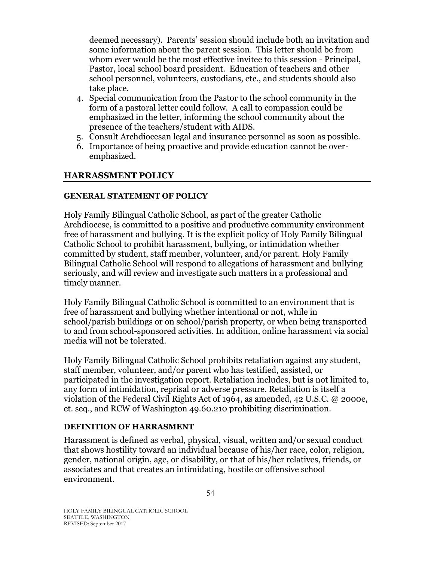deemed necessary). Parents' session should include both an invitation and some information about the parent session. This letter should be from whom ever would be the most effective invitee to this session - Principal, Pastor, local school board president. Education of teachers and other school personnel, volunteers, custodians, etc., and students should also take place.

- 4. Special communication from the Pastor to the school community in the form of a pastoral letter could follow. A call to compassion could be emphasized in the letter, informing the school community about the presence of the teachers/student with AIDS.
- 5. Consult Archdiocesan legal and insurance personnel as soon as possible.
- 6. Importance of being proactive and provide education cannot be overemphasized.

### <span id="page-53-0"></span>**HARRASSMENT POLICY**

#### **GENERAL STATEMENT OF POLICY**

Holy Family Bilingual Catholic School, as part of the greater Catholic Archdiocese, is committed to a positive and productive community environment free of harassment and bullying. It is the explicit policy of Holy Family Bilingual Catholic School to prohibit harassment, bullying, or intimidation whether committed by student, staff member, volunteer, and/or parent. Holy Family Bilingual Catholic School will respond to allegations of harassment and bullying seriously, and will review and investigate such matters in a professional and timely manner.

Holy Family Bilingual Catholic School is committed to an environment that is free of harassment and bullying whether intentional or not, while in school/parish buildings or on school/parish property, or when being transported to and from school-sponsored activities. In addition, online harassment via social media will not be tolerated.

Holy Family Bilingual Catholic School prohibits retaliation against any student, staff member, volunteer, and/or parent who has testified, assisted, or participated in the investigation report. Retaliation includes, but is not limited to, any form of intimidation, reprisal or adverse pressure. Retaliation is itself a violation of the Federal Civil Rights Act of 1964, as amended, 42 U.S.C. @ 2000e, et. seq., and RCW of Washington 49.60.210 prohibiting discrimination.

#### **DEFINITION OF HARRASMENT**

Harassment is defined as verbal, physical, visual, written and/or sexual conduct that shows hostility toward an individual because of his/her race, color, religion, gender, national origin, age, or disability, or that of his/her relatives, friends, or associates and that creates an intimidating, hostile or offensive school environment.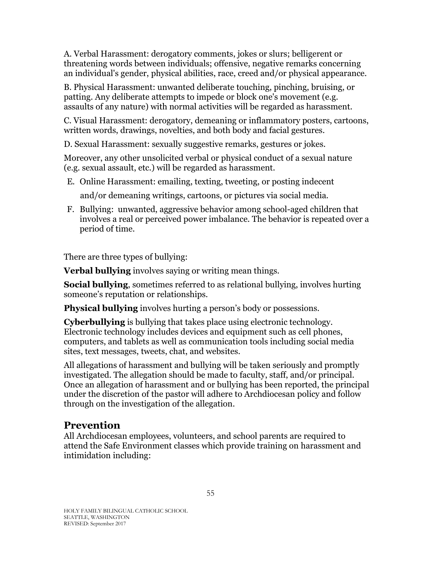A. Verbal Harassment: derogatory comments, jokes or slurs; belligerent or threatening words between individuals; offensive, negative remarks concerning an individual's gender, physical abilities, race, creed and/or physical appearance.

B. Physical Harassment: unwanted deliberate touching, pinching, bruising, or patting. Any deliberate attempts to impede or block one's movement (e.g. assaults of any nature) with normal activities will be regarded as harassment.

C. Visual Harassment: derogatory, demeaning or inflammatory posters, cartoons, written words, drawings, novelties, and both body and facial gestures.

D. Sexual Harassment: sexually suggestive remarks, gestures or jokes.

Moreover, any other unsolicited verbal or physical conduct of a sexual nature (e.g. sexual assault, etc.) will be regarded as harassment.

E. Online Harassment: emailing, texting, tweeting, or posting indecent

and/or demeaning writings, cartoons, or pictures via social media.

F. Bullying: unwanted, aggressive behavior among school-aged children that involves a real or perceived power imbalance. The behavior is repeated over a period of time.

There are three types of bullying:

**Verbal bullying** involves saying or writing mean things.

**Social bullying**, sometimes referred to as relational bullying, involves hurting someone's reputation or relationships.

**Physical bullying** involves hurting a person's body or possessions.

**Cyberbullying** is bullying that takes place using electronic technology. Electronic technology includes devices and equipment such as cell phones, computers, and tablets as well as communication tools including social media sites, text messages, tweets, chat, and websites.

All allegations of harassment and bullying will be taken seriously and promptly investigated. The allegation should be made to faculty, staff, and/or principal. Once an allegation of harassment and or bullying has been reported, the principal under the discretion of the pastor will adhere to Archdiocesan policy and follow through on the investigation of the allegation.

#### **Prevention**

All Archdiocesan employees, volunteers, and school parents are required to attend the Safe Environment classes which provide training on harassment and intimidation including: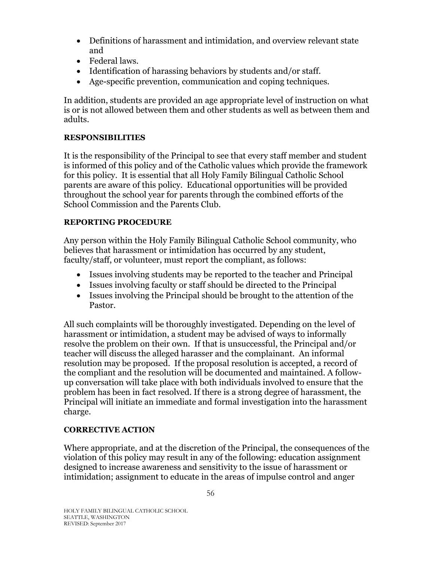- Definitions of harassment and intimidation, and overview relevant state and
- Federal laws.
- Identification of harassing behaviors by students and/or staff.
- Age-specific prevention, communication and coping techniques.

In addition, students are provided an age appropriate level of instruction on what is or is not allowed between them and other students as well as between them and adults.

#### **RESPONSIBILITIES**

It is the responsibility of the Principal to see that every staff member and student is informed of this policy and of the Catholic values which provide the framework for this policy. It is essential that all Holy Family Bilingual Catholic School parents are aware of this policy. Educational opportunities will be provided throughout the school year for parents through the combined efforts of the School Commission and the Parents Club.

#### **REPORTING PROCEDURE**

Any person within the Holy Family Bilingual Catholic School community, who believes that harassment or intimidation has occurred by any student, faculty/staff, or volunteer, must report the compliant, as follows:

- Issues involving students may be reported to the teacher and Principal
- Issues involving faculty or staff should be directed to the Principal
- Issues involving the Principal should be brought to the attention of the Pastor.

All such complaints will be thoroughly investigated. Depending on the level of harassment or intimidation, a student may be advised of ways to informally resolve the problem on their own. If that is unsuccessful, the Principal and/or teacher will discuss the alleged harasser and the complainant. An informal resolution may be proposed. If the proposal resolution is accepted, a record of the compliant and the resolution will be documented and maintained. A followup conversation will take place with both individuals involved to ensure that the problem has been in fact resolved. If there is a strong degree of harassment, the Principal will initiate an immediate and formal investigation into the harassment charge.

#### **CORRECTIVE ACTION**

Where appropriate, and at the discretion of the Principal, the consequences of the violation of this policy may result in any of the following: education assignment designed to increase awareness and sensitivity to the issue of harassment or intimidation; assignment to educate in the areas of impulse control and anger